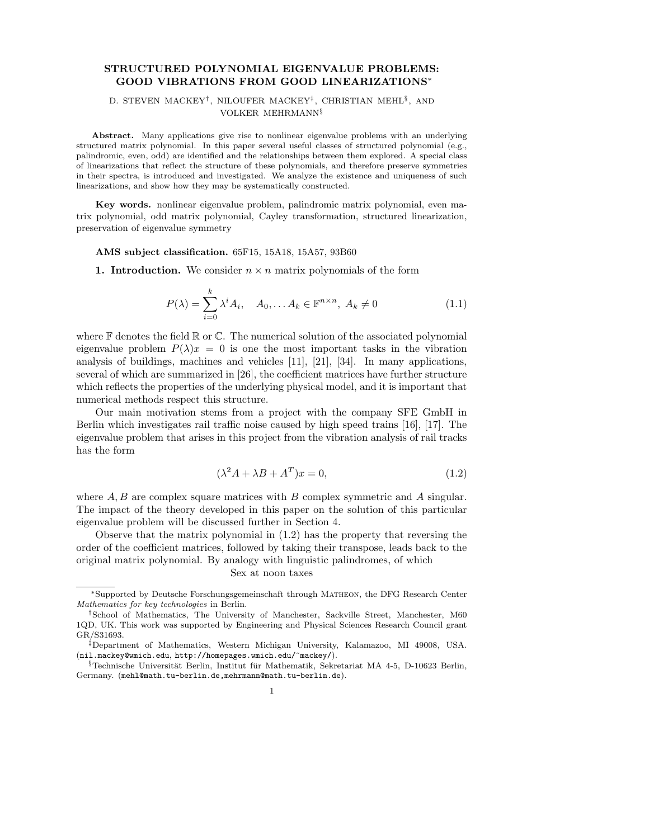# STRUCTURED POLYNOMIAL EIGENVALUE PROBLEMS: GOOD VIBRATIONS FROM GOOD LINEARIZATIONS<sup>∗</sup>

# D. STEVEN MACKEY<sup>†</sup>, NILOUFER MACKEY<sup>‡</sup>, CHRISTIAN MEHL<sup>§</sup>, AND VOLKER MEHRMANN§

Abstract. Many applications give rise to nonlinear eigenvalue problems with an underlying structured matrix polynomial. In this paper several useful classes of structured polynomial (e.g., palindromic, even, odd) are identified and the relationships between them explored. A special class of linearizations that reflect the structure of these polynomials, and therefore preserve symmetries in their spectra, is introduced and investigated. We analyze the existence and uniqueness of such linearizations, and show how they may be systematically constructed.

Key words. nonlinear eigenvalue problem, palindromic matrix polynomial, even matrix polynomial, odd matrix polynomial, Cayley transformation, structured linearization, preservation of eigenvalue symmetry

## AMS subject classification. 65F15, 15A18, 15A57, 93B60

**1. Introduction.** We consider  $n \times n$  matrix polynomials of the form

$$
P(\lambda) = \sum_{i=0}^{k} \lambda^{i} A_{i}, \quad A_{0}, \dots A_{k} \in \mathbb{F}^{n \times n}, A_{k} \neq 0
$$
 (1.1)

where  $\mathbb F$  denotes the field  $\mathbb R$  or  $\mathbb C$ . The numerical solution of the associated polynomial eigenvalue problem  $P(\lambda)x = 0$  is one the most important tasks in the vibration analysis of buildings, machines and vehicles [11], [21], [34]. In many applications, several of which are summarized in [26], the coefficient matrices have further structure which reflects the properties of the underlying physical model, and it is important that numerical methods respect this structure.

Our main motivation stems from a project with the company SFE GmbH in Berlin which investigates rail traffic noise caused by high speed trains [16], [17]. The eigenvalue problem that arises in this project from the vibration analysis of rail tracks has the form

$$
(\lambda^2 A + \lambda B + A^T)x = 0,\t(1.2)
$$

where  $A, B$  are complex square matrices with  $B$  complex symmetric and  $A$  singular. The impact of the theory developed in this paper on the solution of this particular eigenvalue problem will be discussed further in Section 4.

Observe that the matrix polynomial in (1.2) has the property that reversing the order of the coefficient matrices, followed by taking their transpose, leads back to the original matrix polynomial. By analogy with linguistic palindromes, of which

# Sex at noon taxes

<sup>∗</sup>Supported by Deutsche Forschungsgemeinschaft through Matheon, the DFG Research Center Mathematics for key technologies in Berlin.

<sup>†</sup>School of Mathematics, The University of Manchester, Sackville Street, Manchester, M60 1QD, UK. This work was supported by Engineering and Physical Sciences Research Council grant GR/S31693.

<sup>‡</sup>Department of Mathematics, Western Michigan University, Kalamazoo, MI 49008, USA. (nil.mackey@wmich.edu, http://homepages.wmich.edu/~mackey/).

 $\S$ Technische Universität Berlin, Institut für Mathematik, Sekretariat MA 4-5, D-10623 Berlin, Germany. (mehl@math.tu-berlin.de,mehrmann@math.tu-berlin.de).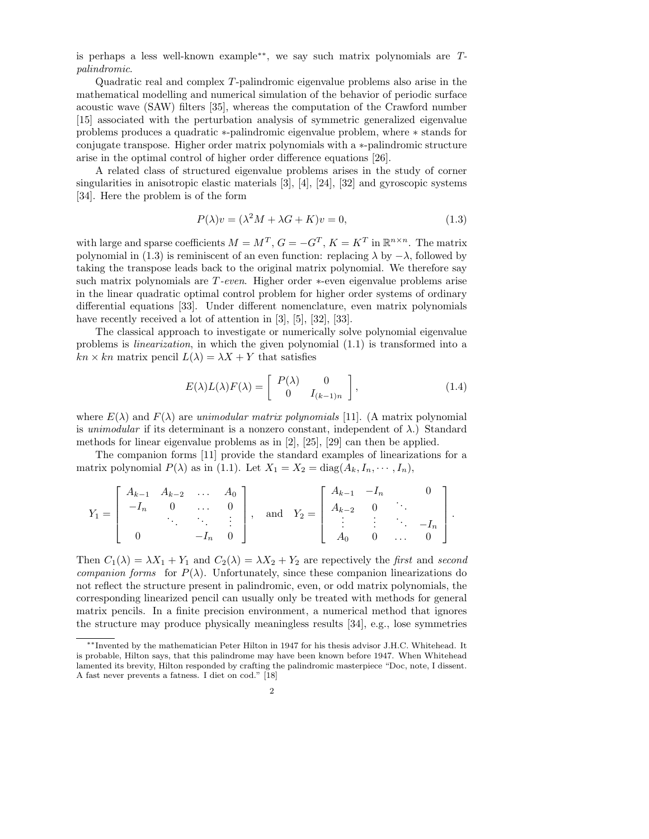is perhaps a less well-known example∗∗ , we say such matrix polynomials are Tpalindromic.

Quadratic real and complex T-palindromic eigenvalue problems also arise in the mathematical modelling and numerical simulation of the behavior of periodic surface acoustic wave (SAW) filters [35], whereas the computation of the Crawford number [15] associated with the perturbation analysis of symmetric generalized eigenvalue problems produces a quadratic ∗-palindromic eigenvalue problem, where ∗ stands for conjugate transpose. Higher order matrix polynomials with a ∗-palindromic structure arise in the optimal control of higher order difference equations [26].

A related class of structured eigenvalue problems arises in the study of corner singularities in anisotropic elastic materials [3], [4], [24], [32] and gyroscopic systems [34]. Here the problem is of the form

$$
P(\lambda)v = (\lambda^2 M + \lambda G + K)v = 0,
$$
\n(1.3)

with large and sparse coefficients  $M = M^T$ ,  $G = -G^T$ ,  $K = K^T$  in  $\mathbb{R}^{n \times n}$ . The matrix polynomial in (1.3) is reminiscent of an even function: replacing  $\lambda$  by  $-\lambda$ , followed by taking the transpose leads back to the original matrix polynomial. We therefore say such matrix polynomials are T-even. Higher order ∗-even eigenvalue problems arise in the linear quadratic optimal control problem for higher order systems of ordinary differential equations [33]. Under different nomenclature, even matrix polynomials have recently received a lot of attention in [3], [5], [32], [33].

The classical approach to investigate or numerically solve polynomial eigenvalue problems is linearization, in which the given polynomial (1.1) is transformed into a  $kn \times kn$  matrix pencil  $L(\lambda) = \lambda X + Y$  that satisfies

$$
E(\lambda)L(\lambda)F(\lambda) = \begin{bmatrix} P(\lambda) & 0 \\ 0 & I_{(k-1)n} \end{bmatrix},
$$
\n(1.4)

where  $E(\lambda)$  and  $F(\lambda)$  are unimodular matrix polynomials [11]. (A matrix polynomial is unimodular if its determinant is a nonzero constant, independent of  $\lambda$ .) Standard methods for linear eigenvalue problems as in [2], [25], [29] can then be applied.

The companion forms [11] provide the standard examples of linearizations for a matrix polynomial  $P(\lambda)$  as in (1.1). Let  $X_1 = X_2 = \text{diag}(A_k, I_n, \dots, I_n)$ ,

$$
Y_1 = \begin{bmatrix} A_{k-1} & A_{k-2} & \dots & A_0 \\ -I_n & 0 & \dots & 0 \\ & \ddots & \ddots & \vdots \\ 0 & & -I_n & 0 \end{bmatrix}, \text{ and } Y_2 = \begin{bmatrix} A_{k-1} & -I_n & 0 \\ A_{k-2} & 0 & \ddots \\ \vdots & \vdots & \ddots & -I_n \\ A_0 & 0 & \dots & 0 \end{bmatrix}.
$$

Then  $C_1(\lambda) = \lambda X_1 + Y_1$  and  $C_2(\lambda) = \lambda X_2 + Y_2$  are repectively the first and second companion forms for  $P(\lambda)$ . Unfortunately, since these companion linearizations do not reflect the structure present in palindromic, even, or odd matrix polynomials, the corresponding linearized pencil can usually only be treated with methods for general matrix pencils. In a finite precision environment, a numerical method that ignores the structure may produce physically meaningless results [34], e.g., lose symmetries

<sup>∗∗</sup>Invented by the mathematician Peter Hilton in 1947 for his thesis advisor J.H.C. Whitehead. It is probable, Hilton says, that this palindrome may have been known before 1947. When Whitehead lamented its brevity, Hilton responded by crafting the palindromic masterpiece "Doc, note, I dissent. A fast never prevents a fatness. I diet on cod." [18]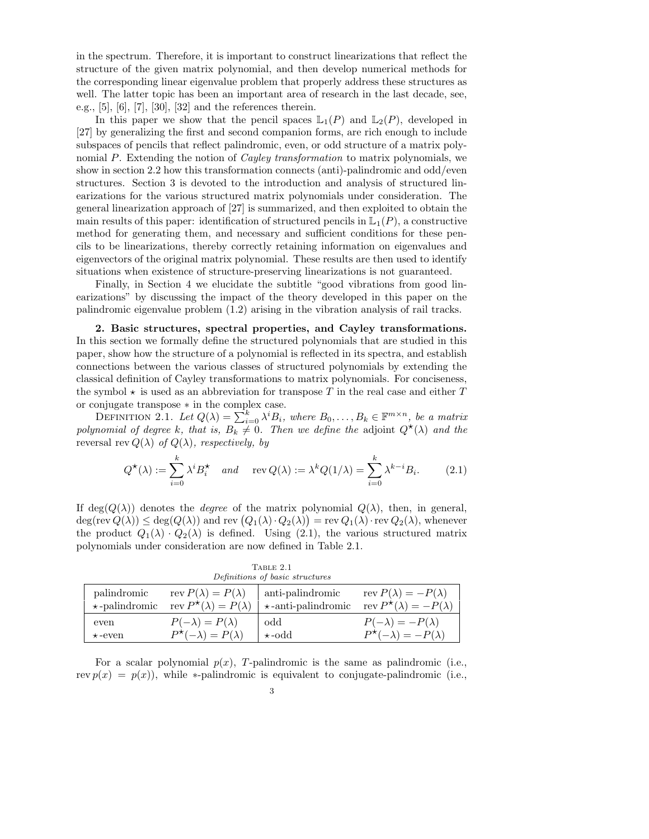in the spectrum. Therefore, it is important to construct linearizations that reflect the structure of the given matrix polynomial, and then develop numerical methods for the corresponding linear eigenvalue problem that properly address these structures as well. The latter topic has been an important area of research in the last decade, see, e.g., [5], [6], [7], [30], [32] and the references therein.

In this paper we show that the pencil spaces  $\mathbb{L}_1(P)$  and  $\mathbb{L}_2(P)$ , developed in [27] by generalizing the first and second companion forms, are rich enough to include subspaces of pencils that reflect palindromic, even, or odd structure of a matrix polynomial P. Extending the notion of *Cayley transformation* to matrix polynomials, we show in section 2.2 how this transformation connects (anti)-palindromic and odd/even structures. Section 3 is devoted to the introduction and analysis of structured linearizations for the various structured matrix polynomials under consideration. The general linearization approach of [27] is summarized, and then exploited to obtain the main results of this paper: identification of structured pencils in  $\mathbb{L}_1(P)$ , a constructive method for generating them, and necessary and sufficient conditions for these pencils to be linearizations, thereby correctly retaining information on eigenvalues and eigenvectors of the original matrix polynomial. These results are then used to identify situations when existence of structure-preserving linearizations is not guaranteed.

Finally, in Section 4 we elucidate the subtitle "good vibrations from good linearizations" by discussing the impact of the theory developed in this paper on the palindromic eigenvalue problem (1.2) arising in the vibration analysis of rail tracks.

2. Basic structures, spectral properties, and Cayley transformations. In this section we formally define the structured polynomials that are studied in this paper, show how the structure of a polynomial is reflected in its spectra, and establish connections between the various classes of structured polynomials by extending the classical definition of Cayley transformations to matrix polynomials. For conciseness, the symbol  $\star$  is used as an abbreviation for transpose T in the real case and either T or conjugate transpose ∗ in the complex case.

DEFINITION 2.1. Let  $Q(\lambda) = \sum_{i=0}^{k} \lambda^{i} B_{i}$ , where  $B_0, \ldots, B_k \in \mathbb{F}^{m \times n}$ , be a matrix polynomial of degree k, that is,  $B_k \neq 0$ . Then we define the adjoint  $Q^{\star}(\lambda)$  and the reversal rev  $Q(\lambda)$  of  $Q(\lambda)$ , respectively, by

$$
Q^{\star}(\lambda) := \sum_{i=0}^{k} \lambda^{i} B_{i}^{\star} \quad and \quad \text{rev } Q(\lambda) := \lambda^{k} Q(1/\lambda) = \sum_{i=0}^{k} \lambda^{k-i} B_{i}.
$$
 (2.1)

If deg( $Q(\lambda)$ ) denotes the *degree* of the matrix polynomial  $Q(\lambda)$ , then, in general,  $\deg(\text{rev } Q(\lambda)) \leq \deg(Q(\lambda))$  and rev  $(Q_1(\lambda) \cdot Q_2(\lambda)) = \text{rev } Q_1(\lambda) \cdot \text{rev } Q_2(\lambda)$ , whenever the product  $Q_1(\lambda) \cdot Q_2(\lambda)$  is defined. Using (2.1), the various structured matrix polynomials under consideration are now defined in Table 2.1.

Table 2.1 Definitions of basic structures

| Definitions of basic structures     |                                                                        |                                               |                                                                          |  |  |
|-------------------------------------|------------------------------------------------------------------------|-----------------------------------------------|--------------------------------------------------------------------------|--|--|
| palindromic<br>$\star$ -palindromic | rev $P(\lambda) = P(\lambda)$<br>rev $P^{\star}(\lambda) = P(\lambda)$ | anti-palindromic<br>$\star$ -anti-palindromic | rev $P(\lambda) = -P(\lambda)$<br>rev $P^{\star}(\lambda) = -P(\lambda)$ |  |  |
| even                                | $P(-\lambda) = P(\lambda)$                                             | odd                                           | $P(-\lambda) = -P(\lambda)$                                              |  |  |
| $\star$ -even                       | $P^{\star}(-\lambda) = P(\lambda)$                                     | $\star$ -odd                                  | $P^{\star}(-\lambda) = -P(\lambda)$                                      |  |  |

For a scalar polynomial  $p(x)$ , T-palindromic is the same as palindromic (i.e., rev  $p(x) = p(x)$ , while \*-palindromic is equivalent to conjugate-palindromic (i.e.,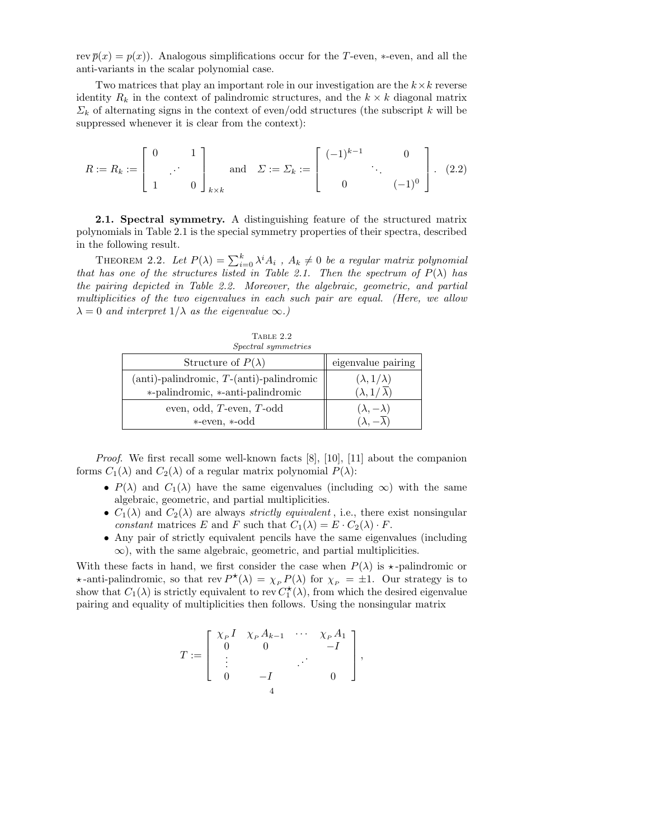rev  $\overline{p}(x) = p(x)$ . Analogous simplifications occur for the T-even, \*-even, and all the anti-variants in the scalar polynomial case.

Two matrices that play an important role in our investigation are the  $k \times k$  reverse identity  $R_k$  in the context of palindromic structures, and the  $k \times k$  diagonal matrix  $\Sigma_k$  of alternating signs in the context of even/odd structures (the subscript k will be suppressed whenever it is clear from the context):

$$
R := R_k := \begin{bmatrix} 0 & 1 \\ 1 & 0 \end{bmatrix}_{k \times k} \quad \text{and} \quad \Sigma := \Sigma_k := \begin{bmatrix} (-1)^{k-1} & 0 \\ 0 & (-1)^0 \end{bmatrix} . \tag{2.2}
$$

2.1. Spectral symmetry. A distinguishing feature of the structured matrix polynomials in Table 2.1 is the special symmetry properties of their spectra, described in the following result.

THEOREM 2.2. Let  $P(\lambda) = \sum_{i=0}^{k} \lambda^{i} A_i$ ,  $A_k \neq 0$  be a regular matrix polynomial that has one of the structures listed in Table 2.1. Then the spectrum of  $P(\lambda)$  has the pairing depicted in Table 2.2. Moreover, the algebraic, geometric, and partial multiplicities of the two eigenvalues in each such pair are equal. (Here, we allow  $\lambda = 0$  and interpret  $1/\lambda$  as the eigenvalue  $\infty$ .)

| TABLE 2.2<br><i>Spectral symmetries</i>                                                 |                                                  |
|-----------------------------------------------------------------------------------------|--------------------------------------------------|
| Structure of $P(\lambda)$                                                               | eigenvalue pairing                               |
| $(anti)$ -palindromic, $T$ - $(anti)$ -palindromic<br>*-palindromic, *-anti-palindromic | $(\lambda, 1/\lambda)$<br>$(\lambda, 1/\lambda)$ |
| even, odd, T-even, T-odd<br>*-even, *-odd                                               | $(\lambda, -\lambda)$                            |

*Proof.* We first recall some well-known facts  $[8]$ ,  $[10]$ ,  $[11]$  about the companion forms  $C_1(\lambda)$  and  $C_2(\lambda)$  of a regular matrix polynomial  $P(\lambda)$ :

- $P(\lambda)$  and  $C_1(\lambda)$  have the same eigenvalues (including  $\infty$ ) with the same algebraic, geometric, and partial multiplicities.
- $C_1(\lambda)$  and  $C_2(\lambda)$  are always *strictly equivalent*, i.e., there exist nonsingular constant matrices E and F such that  $C_1(\lambda) = E \cdot C_2(\lambda) \cdot F$ .
- Any pair of strictly equivalent pencils have the same eigenvalues (including  $\infty$ ), with the same algebraic, geometric, and partial multiplicities.

With these facts in hand, we first consider the case when  $P(\lambda)$  is  $\star$ -palindromic or  $\star$ -anti-palindromic, so that rev  $P^{\star}(\lambda) = \chi_P P(\lambda)$  for  $\chi_P = \pm 1$ . Our strategy is to show that  $C_1(\lambda)$  is strictly equivalent to rev  $C_1^{\star}(\lambda)$ , from which the desired eigenvalue pairing and equality of multiplicities then follows. Using the nonsingular matrix

$$
T := \left[ \begin{array}{cccc} \chi_{\scriptscriptstyle P} I & \chi_{\scriptscriptstyle P} A_{k-1} & \cdots & \chi_{\scriptscriptstyle P} A_1 \\ 0 & 0 & & -I \\ \vdots & & & \vdots \\ 0 & -I & & 0 \end{array} \right],
$$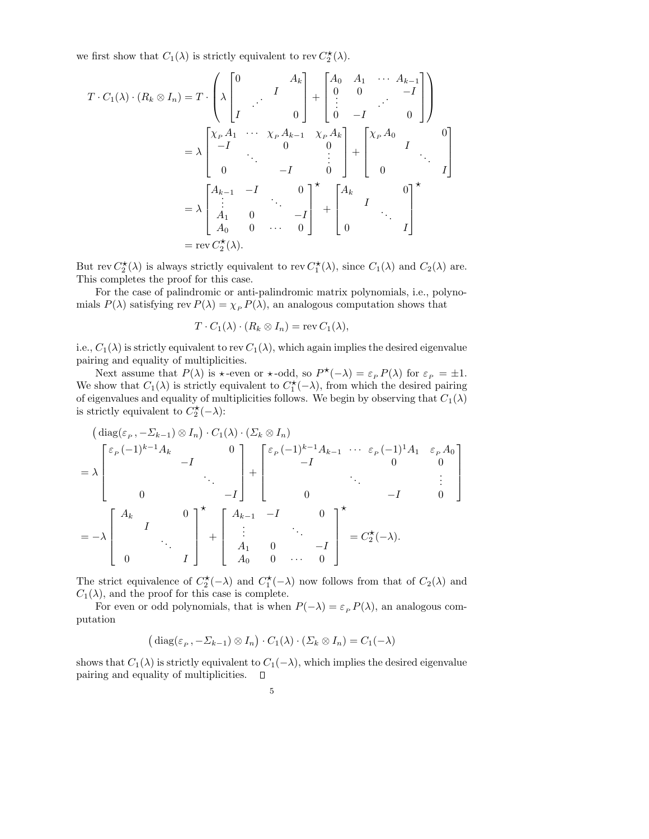we first show that  $C_1(\lambda)$  is strictly equivalent to rev  $C_2^{\star}(\lambda)$ .

$$
T \cdot C_1(\lambda) \cdot (R_k \otimes I_n) = T \cdot \begin{pmatrix} \lambda \begin{bmatrix} 0 & A_k \ A & \cdots & A_k \end{bmatrix} + \begin{bmatrix} A_0 & A_1 & \cdots & A_{k-1} \ 0 & 0 & -I \ \vdots & \ddots & \vdots \ 0 & -I & 0 \end{bmatrix} \end{pmatrix}
$$
  
=  $\lambda \begin{bmatrix} \chi_P A_1 & \cdots & \chi_P A_{k-1} & \chi_P A_k \ -I & 0 & 0 \ \vdots & \ddots & \vdots \ 0 & -I & 0 \end{bmatrix} + \begin{bmatrix} \chi_P A_0 & 0 \ A_1 & \cdots & I \end{bmatrix}$   
=  $\lambda \begin{bmatrix} A_{k-1} & -I & 0 \ \vdots & \ddots & \vdots \ A_1 & 0 & -I \ A_0 & 0 & \cdots & 0 \end{bmatrix}^{\star} + \begin{bmatrix} A_k & 0 \ 0 & \cdots & I \end{bmatrix}^{\star}$   
= rev  $C_2^{\star}(\lambda)$ .

But rev  $C_2^{\star}(\lambda)$  is always strictly equivalent to rev  $C_1^{\star}(\lambda)$ , since  $C_1(\lambda)$  and  $C_2(\lambda)$  are. This completes the proof for this case.

For the case of palindromic or anti-palindromic matrix polynomials, i.e., polynomials  $P(\lambda)$  satisfying rev  $P(\lambda) = \chi_P P(\lambda)$ , an analogous computation shows that

$$
T \cdot C_1(\lambda) \cdot (R_k \otimes I_n) = \text{rev } C_1(\lambda),
$$

i.e.,  $C_1(\lambda)$  is strictly equivalent to rev  $C_1(\lambda)$ , which again implies the desired eigenvalue pairing and equality of multiplicities.

Next assume that  $P(\lambda)$  is  $\star$ -even or  $\star$ -odd, so  $P^{\star}(-\lambda) = \varepsilon_P P(\lambda)$  for  $\varepsilon_P = \pm 1$ . We show that  $C_1(\lambda)$  is strictly equivalent to  $C_1^{\star}(-\lambda)$ , from which the desired pairing of eigenvalues and equality of multiplicities follows. We begin by observing that  $C_1(\lambda)$ is strictly equivalent to  $\overrightarrow{C_2^{\star}}(-\lambda)$ :

$$
\begin{aligned}\n\left(\mathrm{diag}(\varepsilon_{P}, -\Sigma_{k-1}) \otimes I_{n}\right) \cdot C_{1}(\lambda) \cdot \left(\Sigma_{k} \otimes I_{n}\right) \\
&= \lambda \begin{bmatrix}\n\varepsilon_{P}(-1)^{k-1} A_{k} & 0 \\
0 & -I\n\end{bmatrix} + \begin{bmatrix}\n\varepsilon_{P}(-1)^{k-1} A_{k-1} & \cdots & \varepsilon_{P}(-1)^{1} A_{1} & \varepsilon_{P} A_{0} \\
-I & 0 & 0 \\
0 & -I & 0\n\end{bmatrix} \\
&= -\lambda \begin{bmatrix}\nA_{k} & 0 \\
I & \vdots \\
0 & I\n\end{bmatrix} + \begin{bmatrix}\nA_{k-1} & -I & 0 \\
\vdots & \ddots & \vdots \\
A_{1} & 0 & -I \\
A_{0} & 0 & \cdots & 0\n\end{bmatrix}^{\star} = C_{2}^{\star}(-\lambda).\n\end{aligned}
$$

The strict equivalence of  $C_2^{\star}(-\lambda)$  and  $C_1^{\star}(-\lambda)$  now follows from that of  $C_2(\lambda)$  and  $C_1(\lambda)$ , and the proof for this case is complete.

For even or odd polynomials, that is when  $P(-\lambda) = \varepsilon_P P(\lambda)$ , an analogous computation

$$
(\mathrm{diag}(\varepsilon_p, -\Sigma_{k-1}) \otimes I_n) \cdot C_1(\lambda) \cdot (\Sigma_k \otimes I_n) = C_1(-\lambda)
$$

shows that  $C_1(\lambda)$  is strictly equivalent to  $C_1(-\lambda)$ , which implies the desired eigenvalue pairing and equality of multiplicities.  $\Box$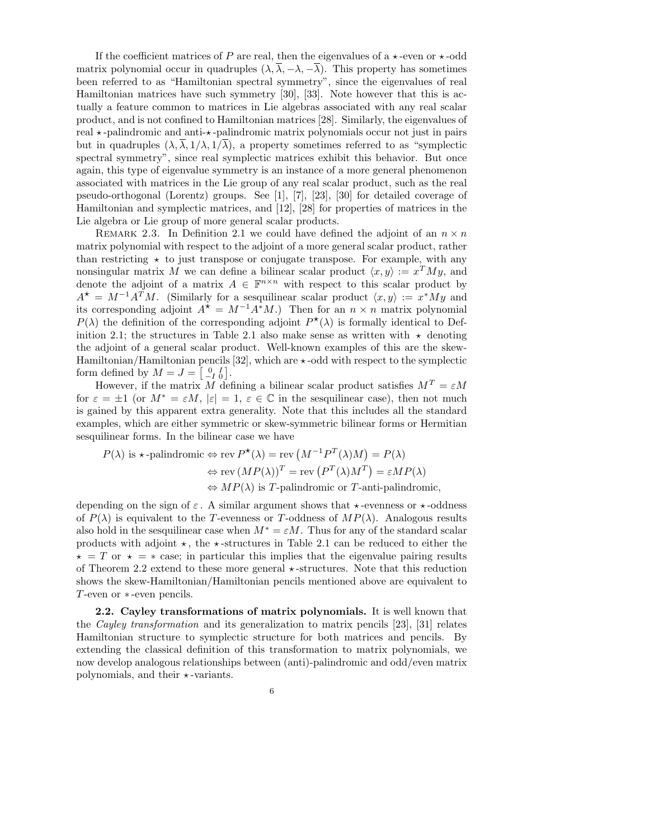If the coefficient matrices of P are real, then the eigenvalues of a  $\star$ -even or  $\star$ -odd matrix polynomial occur in quadruples  $(\lambda, \overline{\lambda}, -\lambda, -\overline{\lambda})$ . This property has sometimes been referred to as "Hamiltonian spectral symmetry", since the eigenvalues of real Hamiltonian matrices have such symmetry [30], [33]. Note however that this is actually a feature common to matrices in Lie algebras associated with any real scalar product, and is not confined to Hamiltonian matrices [28]. Similarly, the eigenvalues of real  $\star$ -palindromic and anti- $\star$ -palindromic matrix polynomials occur not just in pairs but in quadruples  $(\lambda, \overline{\lambda}, 1/\lambda, 1/\overline{\lambda})$ , a property sometimes referred to as "symplectic spectral symmetry", since real symplectic matrices exhibit this behavior. But once again, this type of eigenvalue symmetry is an instance of a more general phenomenon associated with matrices in the Lie group of any real scalar product, such as the real pseudo-orthogonal (Lorentz) groups. See [1], [7], [23], [30] for detailed coverage of Hamiltonian and symplectic matrices, and [12], [28] for properties of matrices in the Lie algebra or Lie group of more general scalar products.

REMARK 2.3. In Definition 2.1 we could have defined the adjoint of an  $n \times n$ matrix polynomial with respect to the adjoint of a more general scalar product, rather than restricting  $\star$  to just transpose or conjugate transpose. For example, with any nonsingular matrix M we can define a bilinear scalar product  $\langle x, y \rangle := x^T M y$ , and denote the adjoint of a matrix  $A \in \mathbb{F}^{n \times n}$  with respect to this scalar product by  $A^* = M^{-1}A^T M$ . (Similarly for a sesquilinear scalar product  $\langle x, y \rangle := x^*My$  and its corresponding adjoint  $A^* = M^{-1}A^*M$ .) Then for an  $n \times n$  matrix polynomial  $P(\lambda)$  the definition of the corresponding adjoint  $P^{\star}(\lambda)$  is formally identical to Definition 2.1; the structures in Table 2.1 also make sense as written with  $\star$  denoting the adjoint of a general scalar product. Well-known examples of this are the skew-Hamiltonian/Hamiltonian pencils [32], which are  $\star$ -odd with respect to the symplectic form defined by  $M = J = \begin{bmatrix} 0 & I \\ -I & 0 \end{bmatrix}$ .

However, if the matrix  $M$  defining a bilinear scalar product satisfies  $M<sup>T</sup> = \varepsilon M$ for  $\varepsilon = \pm 1$  (or  $M^* = \varepsilon M$ ,  $|\varepsilon| = 1$ ,  $\varepsilon \in \mathbb{C}$  in the sesquilinear case), then not much is gained by this apparent extra generality. Note that this includes all the standard examples, which are either symmetric or skew-symmetric bilinear forms or Hermitian sesquilinear forms. In the bilinear case we have

$$
P(\lambda) \text{ is } \star\text{-palindromic} \Leftrightarrow \text{rev } P^{\star}(\lambda) = \text{rev } (M^{-1}P^{T}(\lambda)M) = P(\lambda)
$$

$$
\Leftrightarrow \text{rev } (MP(\lambda))^{T} = \text{rev } (P^{T}(\lambda)M^{T}) = \varepsilon MP(\lambda)
$$

$$
\Leftrightarrow MP(\lambda) \text{ is } T\text{-palindromic or } T\text{-anti-palindromic},
$$

depending on the sign of  $\varepsilon$ . A similar argument shows that  $\star$ -evenness or  $\star$ -oddness of  $P(\lambda)$  is equivalent to the T-evenness or T-oddness of  $MP(\lambda)$ . Analogous results also hold in the sesquilinear case when  $M^* = \varepsilon M$ . Thus for any of the standard scalar products with adjoint  $\star$ , the  $\star$ -structures in Table 2.1 can be reduced to either the  $\star = T$  or  $\star = \star$  case; in particular this implies that the eigenvalue pairing results of Theorem 2.2 extend to these more general  $\star$ -structures. Note that this reduction shows the skew-Hamiltonian/Hamiltonian pencils mentioned above are equivalent to T-even or ∗ -even pencils.

2.2. Cayley transformations of matrix polynomials. It is well known that the Cayley transformation and its generalization to matrix pencils [23], [31] relates Hamiltonian structure to symplectic structure for both matrices and pencils. By extending the classical definition of this transformation to matrix polynomials, we now develop analogous relationships between (anti)-palindromic and odd/even matrix polynomials, and their  $\star$ -variants.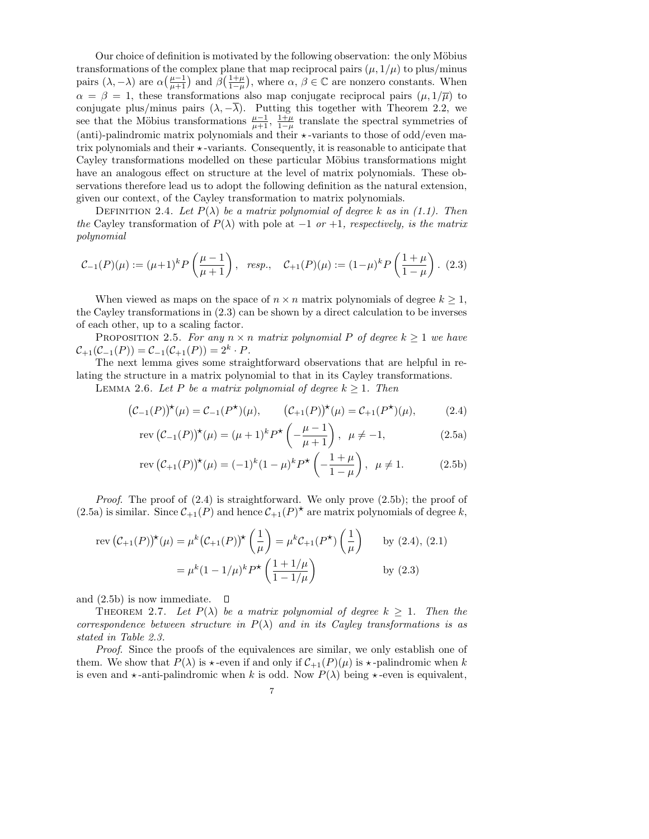Our choice of definition is motivated by the following observation: the only Möbius transformations of the complex plane that map reciprocal pairs  $(\mu, 1/\mu)$  to plus/minus pairs  $(\lambda, -\lambda)$  are  $\alpha\left(\frac{\mu-1}{\mu+1}\right)$  and  $\beta\left(\frac{1+\mu}{1-\mu}\right)$ , where  $\alpha, \beta \in \mathbb{C}$  are nonzero constants. When  $\alpha = \beta = 1$ , these transformations also map conjugate reciprocal pairs  $(\mu, 1/\overline{\mu})$  to conjugate plus/minus pairs  $(\lambda, -\lambda)$ . Putting this together with Theorem 2.2, we see that the Möbius transformations  $\frac{\mu-1}{\mu+1}$ ,  $\frac{1+\mu}{1-\mu}$  translate the spectral symmetries of (anti)-palindromic matrix polynomials and their  $\star$ -variants to those of odd/even matrix polynomials and their  $\star$ -variants. Consequently, it is reasonable to anticipate that Cayley transformations modelled on these particular Möbius transformations might have an analogous effect on structure at the level of matrix polynomials. These observations therefore lead us to adopt the following definition as the natural extension, given our context, of the Cayley transformation to matrix polynomials.

DEFINITION 2.4. Let  $P(\lambda)$  be a matrix polynomial of degree k as in (1.1). Then the Cayley transformation of  $P(\lambda)$  with pole at  $-1$  or  $+1$ , respectively, is the matrix polynomial

$$
\mathcal{C}_{-1}(P)(\mu) := (\mu + 1)^k P\left(\frac{\mu - 1}{\mu + 1}\right), \quad resp., \quad \mathcal{C}_{+1}(P)(\mu) := (1 - \mu)^k P\left(\frac{1 + \mu}{1 - \mu}\right). \tag{2.3}
$$

When viewed as maps on the space of  $n \times n$  matrix polynomials of degree  $k \geq 1$ , the Cayley transformations in (2.3) can be shown by a direct calculation to be inverses of each other, up to a scaling factor.

PROPOSITION 2.5. For any  $n \times n$  matrix polynomial P of degree  $k \geq 1$  we have  $C_{+1}(C_{-1}(P)) = C_{-1}(C_{+1}(P)) = 2^k \cdot P.$ 

The next lemma gives some straightforward observations that are helpful in relating the structure in a matrix polynomial to that in its Cayley transformations.

LEMMA 2.6. Let P be a matrix polynomial of degree  $k \geq 1$ . Then

$$
(C_{-1}(P))^{*}(\mu) = C_{-1}(P^{*})(\mu), \qquad (C_{+1}(P))^{*}(\mu) = C_{+1}(P^{*})(\mu), \tag{2.4}
$$

$$
rev(C_{-1}(P))^{*}(\mu) = (\mu + 1)^{k} P^{*} \left(-\frac{\mu - 1}{\mu + 1}\right), \ \ \mu \neq -1,
$$
\n(2.5a)

$$
\text{rev}\left(\mathcal{C}_{+1}(P)\right)^{\star}(\mu) = (-1)^{k}(1-\mu)^{k}P^{\star}\left(-\frac{1+\mu}{1-\mu}\right), \ \ \mu \neq 1. \tag{2.5b}
$$

*Proof.* The proof of  $(2.4)$  is straightforward. We only prove  $(2.5b)$ ; the proof of (2.5a) is similar. Since  $\mathcal{C}_{+1}(P)$  and hence  $\mathcal{C}_{+1}(P)^{\star}$  are matrix polynomials of degree k,

$$
\text{rev}\left(\mathcal{C}_{+1}(P)\right)^{\star}(\mu) = \mu^{k}\left(\mathcal{C}_{+1}(P)\right)^{\star}\left(\frac{1}{\mu}\right) = \mu^{k}\mathcal{C}_{+1}(P^{\star})\left(\frac{1}{\mu}\right) \quad \text{by (2.4), (2.1)}
$$
\n
$$
= \mu^{k}(1 - 1/\mu)^{k}P^{\star}\left(\frac{1 + 1/\mu}{1 - 1/\mu}\right) \quad \text{by (2.3)}
$$

and  $(2.5b)$  is now immediate.  $\Box$ 

THEOREM 2.7. Let  $P(\lambda)$  be a matrix polynomial of degree  $k \geq 1$ . Then the correspondence between structure in  $P(\lambda)$  and in its Cayley transformations is as stated in Table 2.3.

Proof. Since the proofs of the equivalences are similar, we only establish one of them. We show that  $P(\lambda)$  is  $\star$ -even if and only if  $C_{+1}(P)(\mu)$  is  $\star$ -palindromic when k is even and  $\star$ -anti-palindromic when k is odd. Now  $P(\lambda)$  being  $\star$ -even is equivalent,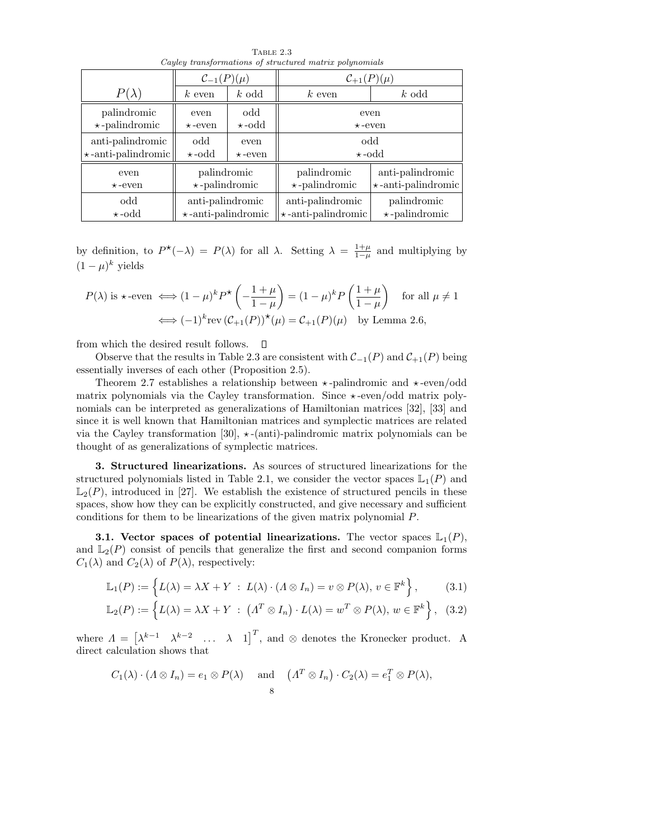| Cayley transformations of structured matrix polynomials |                                            |               |                           |                           |  |
|---------------------------------------------------------|--------------------------------------------|---------------|---------------------------|---------------------------|--|
|                                                         | $C_{-1}(P)$<br>$C_{+1}(P)(\mu)$<br>$(\mu)$ |               |                           |                           |  |
| $P(\lambda)$                                            | $k$ even                                   | $k$ odd       | $k$ odd<br>$k$ even       |                           |  |
| palindromic                                             | even                                       | odd           | even                      |                           |  |
| $\star$ -palindromic                                    | $\star$ -even                              | $\star$ -odd  | $\star$ -even             |                           |  |
| anti-palindromic                                        | odd                                        | even          | odd                       |                           |  |
| $\star$ -anti-palindromic                               | $\star$ -odd                               | $\star$ -even | $\star$ -odd              |                           |  |
| even                                                    | palindromic                                |               | palindromic               | anti-palindromic          |  |
| $\star$ -even                                           | $\star$ -palindromic                       |               | $\star$ -palindromic      | $\star$ -anti-palindromic |  |
| odd                                                     | anti-palindromic                           |               | anti-palindromic          | palindromic               |  |
| $\star$ -odd                                            | $\star$ -anti-palindromic                  |               | $\star$ -anti-palindromic | $\star$ -palindromic      |  |

TABLE 2.3

by definition, to  $P^{\star}(-\lambda) = P(\lambda)$  for all  $\lambda$ . Setting  $\lambda = \frac{1+\mu}{1-\mu}$  and multiplying by  $(1-\mu)^k$  yields

$$
P(\lambda) \text{ is } \star \text{-even } \Longleftrightarrow (1 - \mu)^k P^{\star} \left( -\frac{1 + \mu}{1 - \mu} \right) = (1 - \mu)^k P \left( \frac{1 + \mu}{1 - \mu} \right) \quad \text{for all } \mu \neq 1
$$

$$
\Longleftrightarrow (-1)^k \text{rev } (\mathcal{C}_{+1}(P))^{\star}(\mu) = \mathcal{C}_{+1}(P)(\mu) \quad \text{by Lemma 2.6,}
$$

from which the desired result follows.  $\Box$ 

Observe that the results in Table 2.3 are consistent with  $\mathcal{C}_{-1}(P)$  and  $\mathcal{C}_{+1}(P)$  being essentially inverses of each other (Proposition 2.5).

Theorem 2.7 establishes a relationship between  $\star$ -palindromic and  $\star$ -even/odd matrix polynomials via the Cayley transformation. Since  $\star$ -even/odd matrix polynomials can be interpreted as generalizations of Hamiltonian matrices [32], [33] and since it is well known that Hamiltonian matrices and symplectic matrices are related via the Cayley transformation [30],  $\star$ -(anti)-palindromic matrix polynomials can be thought of as generalizations of symplectic matrices.

3. Structured linearizations. As sources of structured linearizations for the structured polynomials listed in Table 2.1, we consider the vector spaces  $\mathbb{L}_1(P)$  and  $\mathbb{L}_2(P)$ , introduced in [27]. We establish the existence of structured pencils in these spaces, show how they can be explicitly constructed, and give necessary and sufficient conditions for them to be linearizations of the given matrix polynomial P.

3.1. Vector spaces of potential linearizations. The vector spaces  $\mathbb{L}_1(P)$ , and  $\mathbb{L}_2(P)$  consist of pencils that generalize the first and second companion forms  $C_1(\lambda)$  and  $C_2(\lambda)$  of  $P(\lambda)$ , respectively:

$$
\mathbb{L}_1(P) := \left\{ L(\lambda) = \lambda X + Y : L(\lambda) \cdot (A \otimes I_n) = v \otimes P(\lambda), v \in \mathbb{F}^k \right\},\qquad(3.1)
$$

$$
\mathbb{L}_2(P) := \left\{ L(\lambda) = \lambda X + Y \; : \; \left( \Lambda^T \otimes I_n \right) \cdot L(\lambda) = w^T \otimes P(\lambda), \, w \in \mathbb{F}^k \right\}, \tag{3.2}
$$

where  $\Lambda = \begin{bmatrix} \lambda^{k-1} & \lambda^{k-2} & \dots & \lambda & 1 \end{bmatrix}^T$ , and  $\otimes$  denotes the Kronecker product. A direct calculation shows that

$$
C_1(\lambda) \cdot (\Lambda \otimes I_n) = e_1 \otimes P(\lambda)
$$
 and  $(\Lambda^T \otimes I_n) \cdot C_2(\lambda) = e_1^T \otimes P(\lambda),$   
8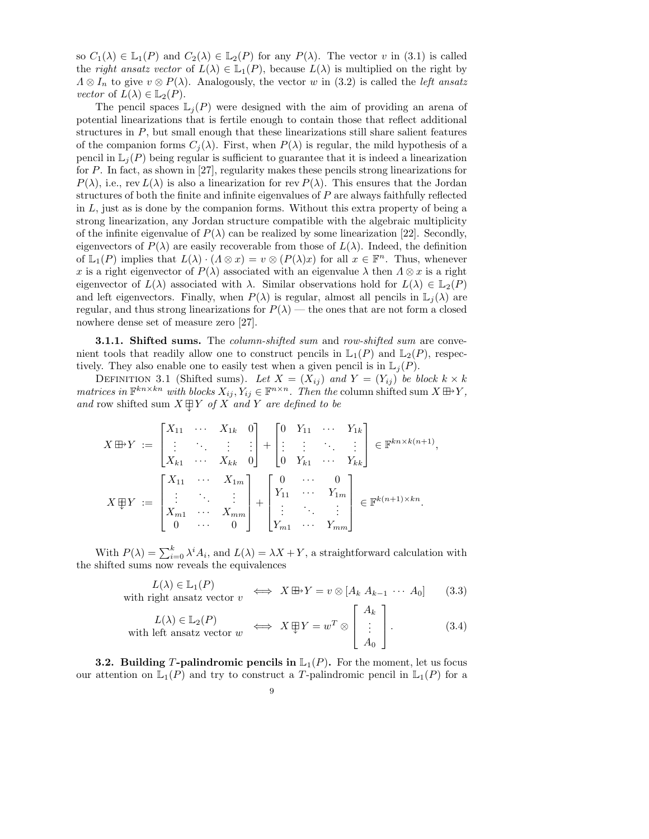so  $C_1(\lambda) \in \mathbb{L}_1(P)$  and  $C_2(\lambda) \in \mathbb{L}_2(P)$  for any  $P(\lambda)$ . The vector v in (3.1) is called the *right ansatz vector* of  $L(\lambda) \in \mathbb{L}_1(P)$ , because  $L(\lambda)$  is multiplied on the right by  $\Lambda \otimes I_n$  to give  $v \otimes P(\lambda)$ . Analogously, the vector w in (3.2) is called the *left ansatz vector* of  $L(\lambda) \in \mathbb{L}_2(P)$ .

The pencil spaces  $\mathbb{L}_i(P)$  were designed with the aim of providing an arena of potential linearizations that is fertile enough to contain those that reflect additional structures in  $P$ , but small enough that these linearizations still share salient features of the companion forms  $C_i(\lambda)$ . First, when  $P(\lambda)$  is regular, the mild hypothesis of a pencil in  $\mathbb{L}_i(P)$  being regular is sufficient to guarantee that it is indeed a linearization for P. In fact, as shown in [27], regularity makes these pencils strong linearizations for  $P(\lambda)$ , i.e., rev  $L(\lambda)$  is also a linearization for rev  $P(\lambda)$ . This ensures that the Jordan structures of both the finite and infinite eigenvalues of  $P$  are always faithfully reflected in  $L$ , just as is done by the companion forms. Without this extra property of being a strong linearization, any Jordan structure compatible with the algebraic multiplicity of the infinite eigenvalue of  $P(\lambda)$  can be realized by some linearization [22]. Secondly, eigenvectors of  $P(\lambda)$  are easily recoverable from those of  $L(\lambda)$ . Indeed, the definition of  $\mathbb{L}_1(P)$  implies that  $L(\lambda) \cdot (A \otimes x) = v \otimes (P(\lambda)x)$  for all  $x \in \mathbb{F}^n$ . Thus, whenever x is a right eigenvector of  $P(\lambda)$  associated with an eigenvalue  $\lambda$  then  $\Lambda \otimes x$  is a right eigenvector of  $L(\lambda)$  associated with  $\lambda$ . Similar observations hold for  $L(\lambda) \in \mathbb{L}_2(P)$ and left eigenvectors. Finally, when  $P(\lambda)$  is regular, almost all pencils in  $\mathbb{L}_j(\lambda)$  are regular, and thus strong linearizations for  $P(\lambda)$  — the ones that are not form a closed nowhere dense set of measure zero [27].

**3.1.1. Shifted sums.** The column-shifted sum and row-shifted sum are convenient tools that readily allow one to construct pencils in  $\mathbb{L}_1(P)$  and  $\mathbb{L}_2(P)$ , respectively. They also enable one to easily test when a given pencil is in  $\mathbb{L}_i(P)$ .

DEFINITION 3.1 (Shifted sums). Let  $X = (X_{ij})$  and  $Y = (Y_{ij})$  be block  $k \times k$ matrices in  $\mathbb{F}^{kn \times kn}$  with blocks  $X_{ij}, Y_{ij} \in \mathbb{F}^{n \times n}$ . Then the column shifted sum  $X \boxplus Y$ , and row shifted sum  $X \boxplus Y$  of X and Y are defined to be

$$
X \boxplus Y := \begin{bmatrix} X_{11} & \cdots & X_{1k} & 0 \\ \vdots & \ddots & \vdots & \vdots \\ X_{k1} & \cdots & X_{kk} & 0 \end{bmatrix} + \begin{bmatrix} 0 & Y_{11} & \cdots & Y_{1k} \\ \vdots & \vdots & \ddots & \vdots \\ 0 & Y_{k1} & \cdots & Y_{kk} \end{bmatrix} \in \mathbb{F}^{kn \times k(n+1)},
$$
  

$$
X \boxplus Y := \begin{bmatrix} X_{11} & \cdots & X_{1m} \\ \vdots & \ddots & \vdots \\ X_{m1} & \cdots & X_{mm} \\ 0 & \cdots & 0 \end{bmatrix} + \begin{bmatrix} 0 & \cdots & 0 \\ Y_{11} & \cdots & Y_{1m} \\ \vdots & \ddots & \vdots \\ Y_{m1} & \cdots & Y_{mm} \end{bmatrix} \in \mathbb{F}^{k(n+1) \times kn}
$$

With  $P(\lambda) = \sum_{i=0}^{k} \lambda^{i} A_{i}$ , and  $L(\lambda) = \lambda X + Y$ , a straightforward calculation with the shifted sums now reveals the equivalences

$$
L(\lambda) \in \mathbb{L}_1(P)
$$
  
with right ansatz vector  $v \iff X \boxplus Y = v \otimes [A_k \ A_{k-1} \ \cdots \ A_0]$  (3.3)

$$
L(\lambda) \in \mathbb{L}_2(P)
$$
  
with left ansatz vector  $w \iff X \oplus Y = w^T \otimes \begin{bmatrix} A_k \\ \vdots \\ A_0 \end{bmatrix}$ . (3.4)

**3.2.** Building T-palindromic pencils in  $\mathbb{L}_1(P)$ . For the moment, let us focus our attention on  $\mathbb{L}_1(P)$  and try to construct a T-palindromic pencil in  $\mathbb{L}_1(P)$  for a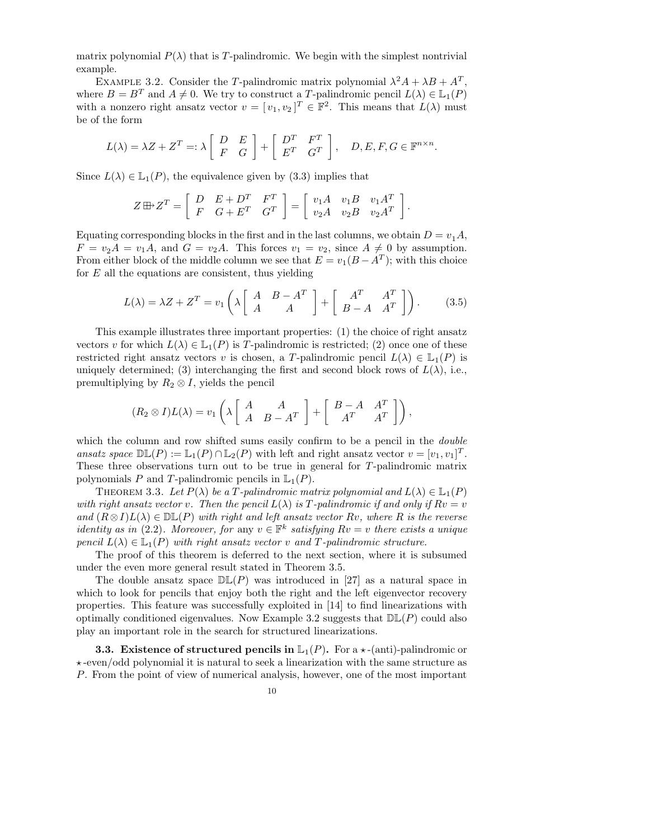matrix polynomial  $P(\lambda)$  that is T-palindromic. We begin with the simplest nontrivial example.

EXAMPLE 3.2. Consider the T-palindromic matrix polynomial  $\lambda^2 A + \lambda B + A^T$ , where  $B = B^T$  and  $A \neq 0$ . We try to construct a T-palindromic pencil  $L(\lambda) \in \mathbb{L}_1(P)$ with a nonzero right ansatz vector  $v = [v_1, v_2]^T \in \mathbb{F}^2$ . This means that  $L(\lambda)$  must be of the form

$$
L(\lambda) = \lambda Z + Z^T =: \lambda \begin{bmatrix} D & E \\ F & G \end{bmatrix} + \begin{bmatrix} D^T & F^T \\ E^T & G^T \end{bmatrix}, \quad D, E, F, G \in \mathbb{F}^{n \times n}.
$$

Since  $L(\lambda) \in \mathbb{L}_1(P)$ , the equivalence given by (3.3) implies that

$$
Z \boxplus Z^T = \left[ \begin{array}{ccc} D & E + D^T & F^T \\ F & G + E^T & G^T \end{array} \right] = \left[ \begin{array}{ccc} v_1 A & v_1 B & v_1 A^T \\ v_2 A & v_2 B & v_2 A^T \end{array} \right]
$$

Equating corresponding blocks in the first and in the last columns, we obtain  $D = v_1 A$ ,  $F = v_2 A = v_1 A$ , and  $G = v_2 A$ . This forces  $v_1 = v_2$ , since  $A \neq 0$  by assumption. From either block of the middle column we see that  $E = v_1(B - A^T)$ ; with this choice for  $E$  all the equations are consistent, thus yielding

$$
L(\lambda) = \lambda Z + Z^T = v_1 \left( \lambda \begin{bmatrix} A & B - A^T \\ A & A \end{bmatrix} + \begin{bmatrix} A^T & A^T \\ B - A & A^T \end{bmatrix} \right). \tag{3.5}
$$

.

This example illustrates three important properties: (1) the choice of right ansatz vectors v for which  $L(\lambda) \in \mathbb{L}_1(P)$  is T-palindromic is restricted; (2) once one of these restricted right ansatz vectors v is chosen, a T-palindromic pencil  $L(\lambda) \in \mathbb{L}_1(P)$  is uniquely determined; (3) interchanging the first and second block rows of  $L(\lambda)$ , i.e., premultiplying by  $R_2 \otimes I$ , yields the pencil

$$
(R_2 \otimes I)L(\lambda) = v_1 \left(\lambda \begin{bmatrix} A & A \ A & B-A^T \end{bmatrix} + \begin{bmatrix} B-A & A^T \ A^T & A^T \end{bmatrix}\right),
$$

which the column and row shifted sums easily confirm to be a pencil in the *double* ansatz space  $\mathbb{DL}(P) := \mathbb{L}_1(P) \cap \mathbb{L}_2(P)$  with left and right ansatz vector  $v = [v_1, v_1]^T$ . These three observations turn out to be true in general for T-palindromic matrix polynomials P and T-palindromic pencils in  $\mathbb{L}_1(P)$ .

THEOREM 3.3. Let  $P(\lambda)$  be a T-palindromic matrix polynomial and  $L(\lambda) \in \mathbb{L}_1(P)$ with right ansatz vector v. Then the pencil  $L(\lambda)$  is T-palindromic if and only if  $Rv = v$ and  $(R \otimes I)L(\lambda) \in \mathbb{DL}(P)$  with right and left ansatz vector Rv, where R is the reverse identity as in (2.2). Moreover, for any  $v \in \mathbb{F}^k$  satisfying  $Rv = v$  there exists a unique pencil  $L(\lambda) \in \mathbb{L}_1(P)$  with right ansatz vector v and T-palindromic structure.

The proof of this theorem is deferred to the next section, where it is subsumed under the even more general result stated in Theorem 3.5.

The double ansatz space  $\mathbb{DL}(P)$  was introduced in [27] as a natural space in which to look for pencils that enjoy both the right and the left eigenvector recovery properties. This feature was successfully exploited in [14] to find linearizations with optimally conditioned eigenvalues. Now Example 3.2 suggests that  $D\mathbb{L}(P)$  could also play an important role in the search for structured linearizations.

**3.3.** Existence of structured pencils in  $\mathbb{L}_1(P)$ . For a  $\star$ -(anti)-palindromic or  $\star$ -even/odd polynomial it is natural to seek a linearization with the same structure as P. From the point of view of numerical analysis, however, one of the most important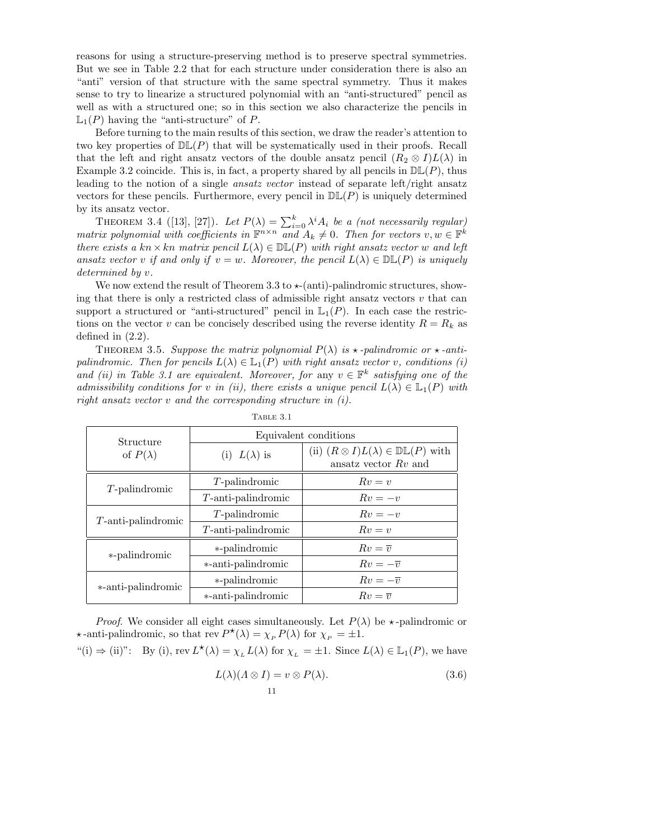reasons for using a structure-preserving method is to preserve spectral symmetries. But we see in Table 2.2 that for each structure under consideration there is also an "anti" version of that structure with the same spectral symmetry. Thus it makes sense to try to linearize a structured polynomial with an "anti-structured" pencil as well as with a structured one; so in this section we also characterize the pencils in  $\mathbb{L}_1(P)$  having the "anti-structure" of P.

Before turning to the main results of this section, we draw the reader's attention to two key properties of  $D\mathbb{L}(P)$  that will be systematically used in their proofs. Recall that the left and right ansatz vectors of the double ansatz pencil  $(R_2 \otimes I)L(\lambda)$  in Example 3.2 coincide. This is, in fact, a property shared by all pencils in  $\mathbb{DL}(P)$ , thus leading to the notion of a single ansatz vector instead of separate left/right ansatz vectors for these pencils. Furthermore, every pencil in  $D\mathbb{L}(P)$  is uniquely determined by its ansatz vector.

THEOREM 3.4 ([13], [27]). Let  $P(\lambda) = \sum_{i=0}^{k} \lambda^{i} A_{i}$  be a (not necessarily regular) matrix polynomial with coefficients in  $\mathbb{F}^{n \times n}$  and  $A_k \neq 0$ . Then for vectors  $v, w \in \mathbb{F}^k$ there exists a kn × kn matrix pencil  $L(\lambda) \in \mathbb{DL}(P)$  with right ansatz vector w and left ansatz vector v if and only if  $v = w$ . Moreover, the pencil  $L(\lambda) \in \mathbb{DL}(P)$  is uniquely determined by v.

We now extend the result of Theorem 3.3 to  $\star$ -(anti)-palindromic structures, showing that there is only a restricted class of admissible right ansatz vectors  $v$  that can support a structured or "anti-structured" pencil in  $\mathbb{L}_1(P)$ . In each case the restrictions on the vector v can be concisely described using the reverse identity  $R = R_k$  as defined in (2.2).

THEOREM 3.5. Suppose the matrix polynomial  $P(\lambda)$  is  $\star$ -palindromic or  $\star$ -antipalindromic. Then for pencils  $L(\lambda) \in \mathbb{L}_1(P)$  with right ansatz vector v, conditions (i) and (ii) in Table 3.1 are equivalent. Moreover, for any  $v \in \mathbb{F}^k$  satisfying one of the admissibility conditions for v in (ii), there exists a unique pencil  $L(\lambda) \in \mathbb{L}_1(P)$  with right ansatz vector  $v$  and the corresponding structure in  $(i)$ .

| Structure             | Equivalent conditions |                                                                                  |  |
|-----------------------|-----------------------|----------------------------------------------------------------------------------|--|
| of $P(\lambda)$       | (i) $L(\lambda)$ is   | (ii) $(R \otimes I)L(\lambda) \in \mathbb{DL}(P)$ with<br>ansatz vector $Rv$ and |  |
| $T$ -palindromic      | $T$ -palindromic      | $Rv=v$                                                                           |  |
|                       | $T$ -anti-palindromic | $Rv = -v$                                                                        |  |
| $T$ -anti-palindromic | $T$ -palindromic      | $Rv = -v$                                                                        |  |
|                       | $T$ -anti-palindromic | $Rv = v$                                                                         |  |
| *-palindromic         | *-palindromic         | $Rv=\overline{v}$                                                                |  |
|                       | *-anti-palindromic    | $Rv=-\overline{v}$                                                               |  |
| *-anti-palindromic    | *-palindromic         | $Rv=-\overline{v}$                                                               |  |
|                       | *-anti-palindromic    | $Rv=\overline{v}$                                                                |  |

Table 3.1

*Proof.* We consider all eight cases simultaneously. Let  $P(\lambda)$  be  $\star$ -palindromic or  $\star$ -anti-palindromic, so that rev  $P^{\star}(\lambda) = \chi_P P(\lambda)$  for  $\chi_P = \pm 1$ .

"(i) 
$$
\Rightarrow
$$
 (ii)": By (i), rev  $L^*(\lambda) = \chi_L L(\lambda)$  for  $\chi_L = \pm 1$ . Since  $L(\lambda) \in \mathbb{L}_1(P)$ , we have

$$
L(\lambda)(\Lambda \otimes I) = v \otimes P(\lambda).
$$
 (3.6)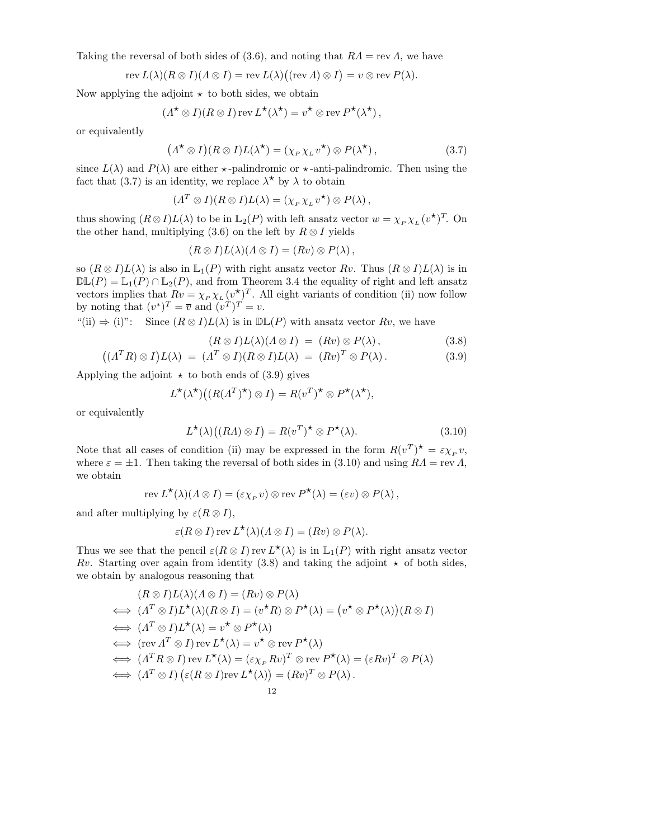Taking the reversal of both sides of (3.6), and noting that  $RA = \text{rev } A$ , we have

$$
\operatorname{rev} L(\lambda)(R \otimes I)(\Lambda \otimes I) = \operatorname{rev} L(\lambda) \big( (\operatorname{rev} \Lambda) \otimes I \big) = v \otimes \operatorname{rev} P(\lambda).
$$

Now applying the adjoint  $\star$  to both sides, we obtain

 $\overline{(\ }$ 

$$
(\Lambda^{\star} \otimes I)(R \otimes I) \operatorname{rev} L^{\star}(\lambda^{\star}) = v^{\star} \otimes \operatorname{rev} P^{\star}(\lambda^{\star}),
$$

or equivalently

$$
\Lambda^{\star} \otimes I)(R \otimes I)L(\lambda^{\star}) = (\chi_{P} \chi_{L} v^{\star}) \otimes P(\lambda^{\star}), \qquad (3.7)
$$

since  $L(\lambda)$  and  $P(\lambda)$  are either  $\star$ -palindromic or  $\star$ -anti-palindromic. Then using the fact that (3.7) is an identity, we replace  $\lambda^*$  by  $\lambda$  to obtain

$$
(\Lambda^T \otimes I)(R \otimes I)L(\lambda) = (\chi_P \chi_L v^{\star}) \otimes P(\lambda),
$$

thus showing  $(R \otimes I)L(\lambda)$  to be in  $\mathbb{L}_2(P)$  with left ansatz vector  $w = \chi_P \chi_L(v^{\star})^T$ . On the other hand, multiplying (3.6) on the left by  $R \otimes I$  yields

$$
(R \otimes I)L(\lambda)(\Lambda \otimes I) = (Rv) \otimes P(\lambda),
$$

so  $(R \otimes I)L(\lambda)$  is also in  $\mathbb{L}_1(P)$  with right ansatz vector  $Rv$ . Thus  $(R \otimes I)L(\lambda)$  is in  $\mathbb{DL}(P) = \mathbb{L}_1(P) \cap \mathbb{L}_2(P)$ , and from Theorem 3.4 the equality of right and left ansatz vectors implies that  $Rv = \chi_P \chi_L (v^*)^T$ . All eight variants of condition (ii) now follow by noting that  $(v^*)^T = \overline{v}$  and  $(v^T)^T = v$ .

"(ii)  $\Rightarrow$  (i)": Since  $(R \otimes I)L(\lambda)$  is in  $D\mathbb{L}(P)$  with ansatz vector  $Rv$ , we have

$$
(R \otimes I)L(\lambda)(\Lambda \otimes I) = (Rv) \otimes P(\lambda), \qquad (3.8)
$$

$$
((\Lambda^T R) \otimes I)L(\lambda) = (\Lambda^T \otimes I)(R \otimes I)L(\lambda) = (Rv)^T \otimes P(\lambda).
$$
 (3.9)

Applying the adjoint  $\star$  to both ends of (3.9) gives

$$
L^{\star}(\lambda^{\star})\big((R(\Lambda^T)^{\star})\otimes I\big)=R(v^T)^{\star}\otimes P^{\star}(\lambda^{\star}),
$$

or equivalently

$$
L^{\star}(\lambda)((RA) \otimes I) = R(v^T)^{\star} \otimes P^{\star}(\lambda).
$$
 (3.10)

Note that all cases of condition (ii) may be expressed in the form  $R(v^T)^* = \varepsilon \chi_P v$ , where  $\varepsilon = \pm 1$ . Then taking the reversal of both sides in (3.10) and using  $RA = \text{rev } A$ , we obtain

$$
\operatorname{rev} L^{\star}(\lambda)(\Lambda \otimes I) = (\varepsilon \chi_P v) \otimes \operatorname{rev} P^{\star}(\lambda) = (\varepsilon v) \otimes P(\lambda),
$$

and after multiplying by  $\varepsilon(R \otimes I)$ ,

$$
\varepsilon(R\otimes I)\operatorname{rev} L^{\star}(\lambda)(\Lambda\otimes I)=(Rv)\otimes P(\lambda).
$$

Thus we see that the pencil  $\varepsilon(R \otimes I)$  rev  $L^*(\lambda)$  is in  $\mathbb{L}_1(P)$  with right ansatz vector Rv. Starting over again from identity (3.8) and taking the adjoint  $\star$  of both sides, we obtain by analogous reasoning that

$$
(R \otimes I)L(\lambda)(\Lambda \otimes I) = (Rv) \otimes P(\lambda)
$$
  
\n
$$
\iff (\Lambda^T \otimes I)L^*(\lambda)(R \otimes I) = (v^*R) \otimes P^*(\lambda) = (v^* \otimes P^*(\lambda))(R \otimes I)
$$
  
\n
$$
\iff (\Lambda^T \otimes I)L^*(\lambda) = v^* \otimes P^*(\lambda)
$$
  
\n
$$
\iff (\text{rev } \Lambda^T \otimes I) \text{ rev } L^*(\lambda) = v^* \otimes \text{rev } P^*(\lambda)
$$
  
\n
$$
\iff (\Lambda^T R \otimes I) \text{ rev } L^*(\lambda) = (\varepsilon_{\chi_P} Rv)^T \otimes \text{rev } P^*(\lambda) = (\varepsilon Rv)^T \otimes P(\lambda)
$$
  
\n
$$
\iff (\Lambda^T \otimes I) (\varepsilon(R \otimes I) \text{rev } L^*(\lambda)) = (Rv)^T \otimes P(\lambda).
$$
  
\n12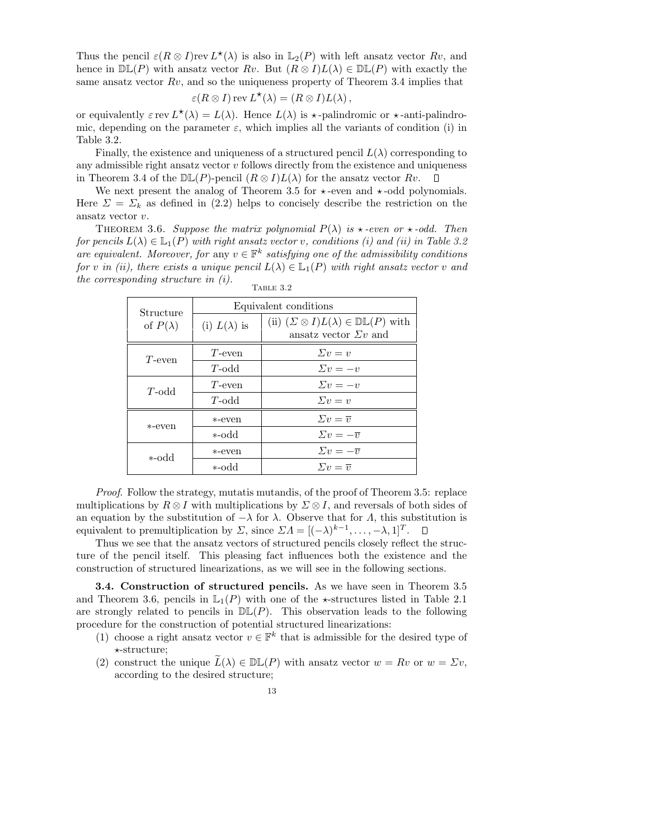Thus the pencil  $\varepsilon(R \otimes I)$ rev  $L^*(\lambda)$  is also in  $\mathbb{L}_2(P)$  with left ansatz vector  $Rv$ , and hence in  $\mathbb{DL}(P)$  with ansatz vector Rv. But  $(R \otimes I)L(\lambda) \in \mathbb{DL}(P)$  with exactly the same ansatz vector  $Rv$ , and so the uniqueness property of Theorem 3.4 implies that

$$
\varepsilon(R\otimes I)\operatorname{rev} L^{\star}(\lambda)=(R\otimes I)L(\lambda),
$$

or equivalently  $\varepsilon$  rev  $L^*(\lambda) = L(\lambda)$ . Hence  $L(\lambda)$  is  $\star$ -palindromic or  $\star$ -anti-palindromic, depending on the parameter  $\varepsilon$ , which implies all the variants of condition (i) in Table 3.2.

Finally, the existence and uniqueness of a structured pencil  $L(\lambda)$  corresponding to any admissible right ansatz vector  $v$  follows directly from the existence and uniqueness in Theorem 3.4 of the  $\mathbb{DL}(P)$ -pencil  $(R \otimes I)L(\lambda)$  for the ansatz vector  $Rv$ .  $\mathsf{L}$ 

We next present the analog of Theorem 3.5 for  $\star$ -even and  $\star$ -odd polynomials. Here  $\Sigma = \Sigma_k$  as defined in (2.2) helps to concisely describe the restriction on the ansatz vector v.

THEOREM 3.6. Suppose the matrix polynomial  $P(\lambda)$  is  $\star$ -even or  $\star$ -odd. Then for pencils  $L(\lambda) \in \mathbb{L}_1(P)$  with right ansatz vector v, conditions (i) and (ii) in Table 3.2 are equivalent. Moreover, for any  $v \in \mathbb{F}^k$  satisfying one of the admissibility conditions for v in (ii), there exists a unique pencil  $L(\lambda) \in \mathbb{L}_1(P)$  with right ansatz vector v and the corresponding structure in (i).

| Structure       | Equivalent conditions |                                                                                             |  |
|-----------------|-----------------------|---------------------------------------------------------------------------------------------|--|
| of $P(\lambda)$ | (i) $L(\lambda)$ is   | (ii) $(\Sigma \otimes I)L(\lambda) \in \mathbb{DL}(P)$ with<br>ansatz vector $\Sigma v$ and |  |
| $T$ -even       | T-even                | $\Sigma v = v$                                                                              |  |
|                 | $T$ -odd              | $\Sigma v = -v$                                                                             |  |
| $T$ -odd        | T-even                | $\Sigma v = -v$                                                                             |  |
|                 | $T$ -odd              | $\Sigma v = v$                                                                              |  |
| *-even          | *-even                | $\Sigma v = \overline{v}$                                                                   |  |
|                 | bbo-*                 | $\Sigma v = -\overline{v}$                                                                  |  |
| bbo-*           | *-even                | $\Sigma v = -\overline{v}$                                                                  |  |
|                 | *-odd                 | $\Sigma v = \overline{v}$                                                                   |  |

Table 3.2

Proof. Follow the strategy, mutatis mutandis, of the proof of Theorem 3.5: replace multiplications by  $R \otimes I$  with multiplications by  $\Sigma \otimes I$ , and reversals of both sides of an equation by the substitution of  $-\lambda$  for  $\lambda$ . Observe that for  $\Lambda$ , this substitution is equivalent to premultiplication by  $\Sigma$ , since  $\Sigma \Lambda = [(-\lambda)^{k-1}, \ldots, -\lambda, 1]^T$ .

Thus we see that the ansatz vectors of structured pencils closely reflect the structure of the pencil itself. This pleasing fact influences both the existence and the construction of structured linearizations, as we will see in the following sections.

3.4. Construction of structured pencils. As we have seen in Theorem 3.5 and Theorem 3.6, pencils in  $\mathbb{L}_1(P)$  with one of the  $\star$ -structures listed in Table 2.1 are strongly related to pencils in  $D\mathbb{L}(P)$ . This observation leads to the following procedure for the construction of potential structured linearizations:

- (1) choose a right ansatz vector  $v \in \mathbb{F}^k$  that is admissible for the desired type of \*-structure:
- (2) construct the unique  $\bar{L}(\lambda) \in \mathbb{DL}(P)$  with ansatz vector  $w = Rv$  or  $w = \Sigma v$ , according to the desired structure;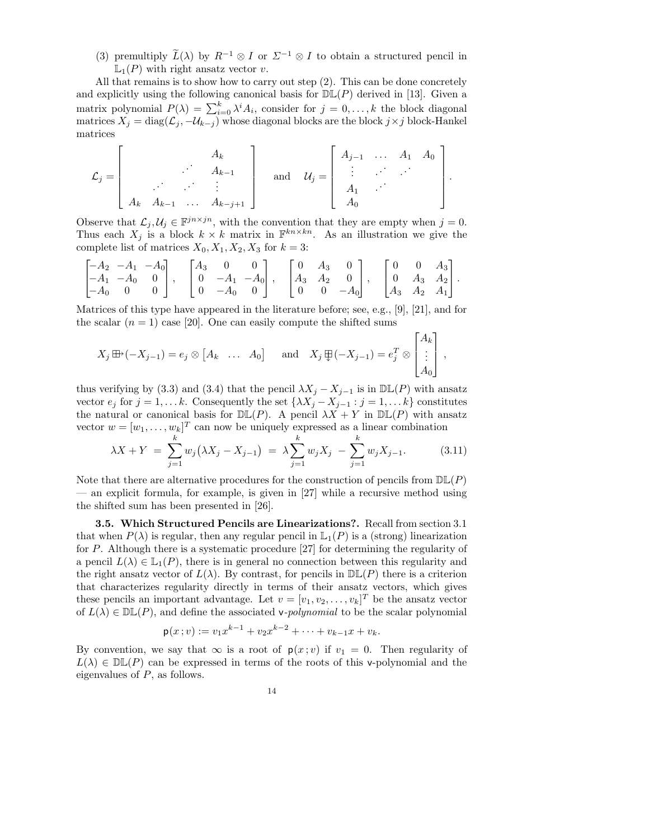(3) premultiply  $\widetilde{L}(\lambda)$  by  $R^{-1} \otimes I$  or  $\Sigma^{-1} \otimes I$  to obtain a structured pencil in  $\mathbb{L}_1(P)$  with right ansatz vector v.

All that remains is to show how to carry out step (2). This can be done concretely and explicitly using the following canonical basis for  $\mathbb{DL}(P)$  derived in [13]. Given a matrix polynomial  $P(\lambda) = \sum_{i=0}^{k} \lambda^{i} A_{i}$ , consider for  $j = 0, \ldots, k$  the block diagonal matrices  $X_j = \text{diag}(\mathcal{L}_j, -\mathcal{U}_{k-j})$  whose diagonal blocks are the block  $j \times j$  block-Hankel matrices

$$
\mathcal{L}_j = \begin{bmatrix} A_k & & \\ & \ddots & A_{k-1} & \\ & & \ddots & \vdots \\ A_k & A_{k-1} & \dots & A_{k-j+1} \end{bmatrix} \text{ and } \mathcal{U}_j = \begin{bmatrix} A_{j-1} & \dots & A_1 & A_0 \\ \vdots & \vdots & \ddots & \vdots \\ A_1 & \dots & A_0 & \\ A_0 & & \end{bmatrix}
$$

.

Observe that  $\mathcal{L}_j, \mathcal{U}_j \in \mathbb{F}^{j n \times j n}$ , with the convention that they are empty when  $j = 0$ . Thus each  $X_j$  is a block  $k \times k$  matrix in  $\mathbb{F}^{kn \times kn}$ . As an illustration we give the complete list of matrices  $X_0, X_1, X_2, X_3$  for  $k = 3$ :

$$
\begin{bmatrix} -A_2 & -A_1 & -A_0 \ -A_1 & -A_0 & 0 \ -A_0 & 0 & 0 \end{bmatrix}, \quad \begin{bmatrix} A_3 & 0 & 0 \ 0 & -A_1 & -A_0 \ 0 & -A_0 & 0 \end{bmatrix}, \quad \begin{bmatrix} 0 & A_3 & 0 \ A_3 & A_2 & 0 \ 0 & 0 & -A_0 \end{bmatrix}, \quad \begin{bmatrix} 0 & 0 & A_3 \ 0 & A_3 & A_2 \ A_3 & A_2 & A_1 \end{bmatrix}.
$$

Matrices of this type have appeared in the literature before; see, e.g., [9], [21], and for the scalar  $(n = 1)$  case [20]. One can easily compute the shifted sums

$$
X_j \boxplus \{(-X_{j-1}) = e_j \otimes [A_k \quad \dots \quad A_0\} \quad \text{and} \quad X_j \boxplus (-X_{j-1}) = e_j^T \otimes \begin{bmatrix} A_k \\ \vdots \\ A_0 \end{bmatrix},
$$

thus verifying by (3.3) and (3.4) that the pencil  $\lambda X_j - X_{j-1}$  is in  $\mathbb{DL}(P)$  with ansatz vector  $e_j$  for  $j = 1, \ldots k$ . Consequently the set  $\{\lambda X_j - X_{j-1} : j = 1, \ldots k\}$  constitutes the natural or canonical basis for  $D\mathbb{L}(P)$ . A pencil  $\lambda X + Y$  in  $D\mathbb{L}(P)$  with ansatz vector  $w = [w_1, \ldots, w_k]^T$  can now be uniquely expressed as a linear combination

$$
\lambda X + Y = \sum_{j=1}^{k} w_j \left( \lambda X_j - X_{j-1} \right) = \lambda \sum_{j=1}^{k} w_j X_j - \sum_{j=1}^{k} w_j X_{j-1}.
$$
 (3.11)

Note that there are alternative procedures for the construction of pencils from  $D\mathbb{L}(P)$ — an explicit formula, for example, is given in [27] while a recursive method using the shifted sum has been presented in [26].

3.5. Which Structured Pencils are Linearizations?. Recall from section 3.1 that when  $P(\lambda)$  is regular, then any regular pencil in  $\mathbb{L}_1(P)$  is a (strong) linearization for P. Although there is a systematic procedure [27] for determining the regularity of a pencil  $L(\lambda) \in \mathbb{L}_1(P)$ , there is in general no connection between this regularity and the right ansatz vector of  $L(\lambda)$ . By contrast, for pencils in  $\mathbb{DL}(P)$  there is a criterion that characterizes regularity directly in terms of their ansatz vectors, which gives these pencils an important advantage. Let  $v = [v_1, v_2, \dots, v_k]^T$  be the ansatz vector of  $L(\lambda) \in \mathbb{DL}(P)$ , and define the associated v-*polynomial* to be the scalar polynomial

$$
\mathsf{p}(x;v) := v_1 x^{k-1} + v_2 x^{k-2} + \dots + v_{k-1} x + v_k.
$$

By convention, we say that  $\infty$  is a root of  $p(x; v)$  if  $v_1 = 0$ . Then regularity of  $L(\lambda) \in \mathbb{DL}(P)$  can be expressed in terms of the roots of this v-polynomial and the eigenvalues of P, as follows.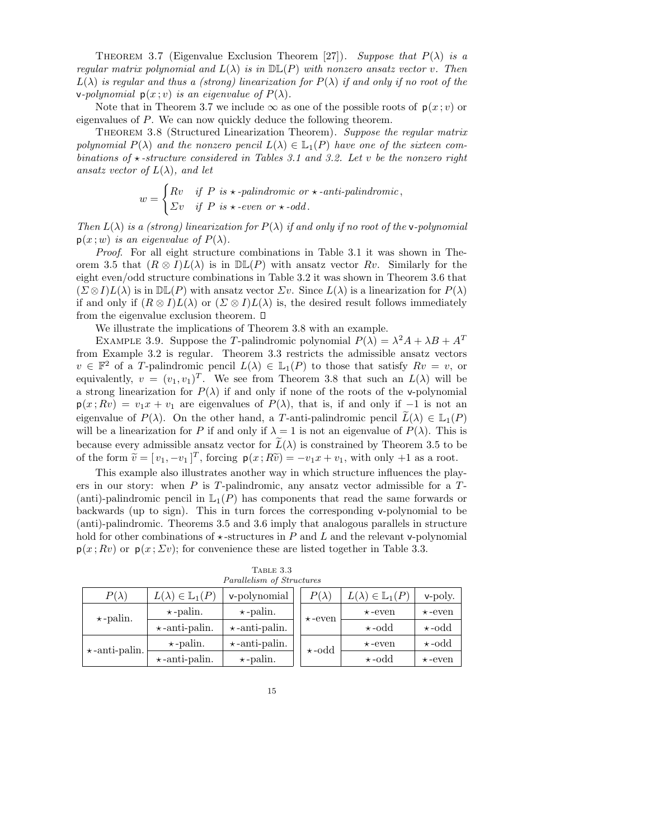THEOREM 3.7 (Eigenvalue Exclusion Theorem [27]). Suppose that  $P(\lambda)$  is a regular matrix polynomial and  $L(\lambda)$  is in  $\mathbb{DL}(P)$  with nonzero ansatz vector v. Then  $L(\lambda)$  is regular and thus a (strong) linearization for  $P(\lambda)$  if and only if no root of the **v**-polynomial  $p(x; v)$  is an eigenvalue of  $P(\lambda)$ .

Note that in Theorem 3.7 we include  $\infty$  as one of the possible roots of  $p(x; v)$  or eigenvalues of P. We can now quickly deduce the following theorem.

THEOREM 3.8 (Structured Linearization Theorem). Suppose the regular matrix polynomial  $P(\lambda)$  and the nonzero pencil  $L(\lambda) \in \mathbb{L}_1(P)$  have one of the sixteen combinations of  $\star$ -structure considered in Tables 3.1 and 3.2. Let v be the nonzero right ansatz vector of  $L(\lambda)$ , and let

$$
w = \begin{cases} Rv & \text{if } P \text{ is } \star\text{-palindromic or } \star\text{-anti-palindromic,} \\ \varSigma v & \text{if } P \text{ is } \star\text{-even or } \star\text{-odd.} \end{cases}
$$

Then  $L(\lambda)$  is a (strong) linearization for  $P(\lambda)$  if and only if no root of the v-polynomial  $p(x; w)$  is an eigenvalue of  $P(\lambda)$ .

Proof. For all eight structure combinations in Table 3.1 it was shown in Theorem 3.5 that  $(R \otimes I)L(\lambda)$  is in  $\mathbb{DL}(P)$  with ansatz vector Rv. Similarly for the eight even/odd structure combinations in Table 3.2 it was shown in Theorem 3.6 that  $(\Sigma \otimes I)L(\lambda)$  is in  $\mathbb{DL}(P)$  with ansatz vector  $\Sigma v$ . Since  $L(\lambda)$  is a linearization for  $P(\lambda)$ if and only if  $(R \otimes I)L(\lambda)$  or  $(\Sigma \otimes I)L(\lambda)$  is, the desired result follows immediately from the eigenvalue exclusion theorem.  $\square$ 

We illustrate the implications of Theorem 3.8 with an example.

EXAMPLE 3.9. Suppose the T-palindromic polynomial  $P(\lambda) = \lambda^2 A + \lambda B + A^T$ from Example 3.2 is regular. Theorem 3.3 restricts the admissible ansatz vectors  $v \in \mathbb{F}^2$  of a T-palindromic pencil  $L(\lambda) \in \mathbb{L}_1(P)$  to those that satisfy  $Rv = v$ , or equivalently,  $v = (v_1, v_1)^T$ . We see from Theorem 3.8 that such an  $L(\lambda)$  will be a strong linearization for  $P(\lambda)$  if and only if none of the roots of the v-polynomial  $p(x; Rv) = v_1x + v_1$  are eigenvalues of  $P(\lambda)$ , that is, if and only if −1 is not an eigenvalue of  $P(\lambda)$ . On the other hand, a T-anti-palindromic pencil  $\widetilde{L}(\lambda) \in \mathbb{L}_1(P)$ will be a linearization for P if and only if  $\lambda = 1$  is not an eigenvalue of  $P(\lambda)$ . This is because every admissible ansatz vector for  $\tilde{L}(\lambda)$  is constrained by Theorem 3.5 to be of the form  $\tilde{v} = [v_1, -v_1]^T$ , forcing  $p(x; R\tilde{v}) = -v_1x + v_1$ , with only +1 as a root.

This example also illustrates another way in which structure influences the players in our story: when  $P$  is  $T$ -palindromic, any ansatz vector admissible for a  $T$ -(anti)-palindromic pencil in  $\mathbb{L}_1(P)$  has components that read the same forwards or backwards (up to sign). This in turn forces the corresponding v-polynomial to be (anti)-palindromic. Theorems 3.5 and 3.6 imply that analogous parallels in structure hold for other combinations of  $\star$ -structures in P and L and the relevant v-polynomial  $p(x; Rv)$  or  $p(x; \Sigma v)$ ; for convenience these are listed together in Table 3.3.

| $P(\lambda)$         | $L(\lambda) \in \mathbb{L}_1(P)$ | v-polynomial         | $P(\lambda)$  | $L(\lambda) \in \mathbb{L}_1(P)$ | v-poly.       |
|----------------------|----------------------------------|----------------------|---------------|----------------------------------|---------------|
| $\star$ -palin.      | $\star$ -palin.                  | $\star$ -palin.      | $\star$ -even | $\star$ -even                    | $\star$ -even |
|                      | $\star$ -anti-palin.             | $\star$ -anti-palin. |               | $\star$ -odd                     | $\star$ -odd  |
| $\star$ -anti-palin. | $\star$ -palin.                  | $\star$ -anti-palin. | $\star$ -odd  | $\star$ -even                    | $\star$ -odd  |
|                      | $\star$ -anti-palin.             | $\star$ -palin.      |               | $\star$ -odd                     | $\star$ -even |

Table 3.3 Parallelism of Structures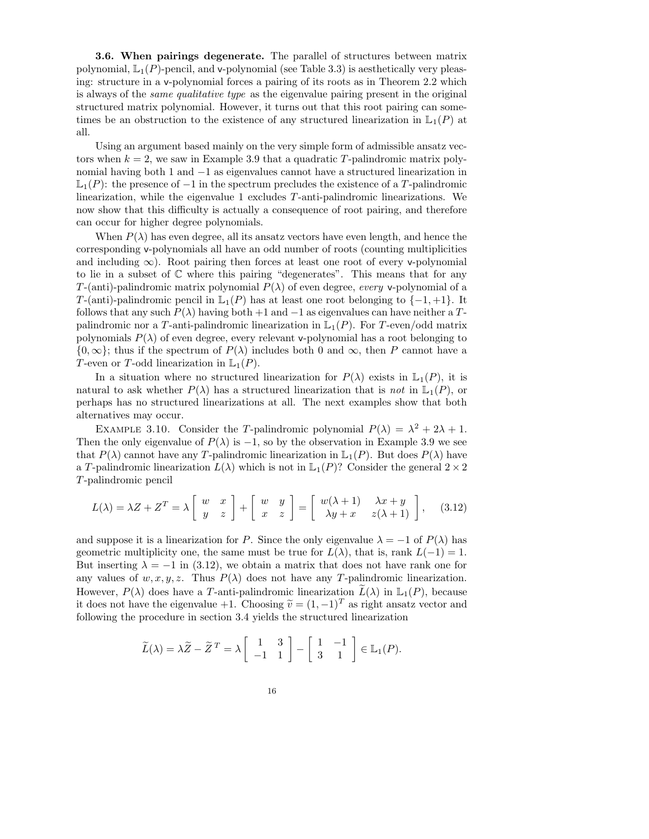3.6. When pairings degenerate. The parallel of structures between matrix polynomial,  $\mathbb{L}_1(P)$ -pencil, and v-polynomial (see Table 3.3) is aesthetically very pleasing: structure in a v-polynomial forces a pairing of its roots as in Theorem 2.2 which is always of the same qualitative type as the eigenvalue pairing present in the original structured matrix polynomial. However, it turns out that this root pairing can sometimes be an obstruction to the existence of any structured linearization in  $\mathbb{L}_1(P)$  at all.

Using an argument based mainly on the very simple form of admissible ansatz vectors when  $k = 2$ , we saw in Example 3.9 that a quadratic T-palindromic matrix polynomial having both 1 and −1 as eigenvalues cannot have a structured linearization in  $\mathbb{L}_1(P)$ : the presence of  $-1$  in the spectrum precludes the existence of a T-palindromic linearization, while the eigenvalue 1 excludes T-anti-palindromic linearizations. We now show that this difficulty is actually a consequence of root pairing, and therefore can occur for higher degree polynomials.

When  $P(\lambda)$  has even degree, all its ansatz vectors have even length, and hence the corresponding v-polynomials all have an odd number of roots (counting multiplicities and including  $\infty$ ). Root pairing then forces at least one root of every v-polynomial to lie in a subset of C where this pairing "degenerates". This means that for any T-(anti)-palindromic matrix polynomial  $P(\lambda)$  of even degree, every v-polynomial of a T-(anti)-palindromic pencil in  $\mathbb{L}_1(P)$  has at least one root belonging to  $\{-1, +1\}$ . It follows that any such  $P(\lambda)$  having both +1 and -1 as eigenvalues can have neither a Tpalindromic nor a T-anti-palindromic linearization in  $\mathbb{L}_1(P)$ . For T-even/odd matrix polynomials  $P(\lambda)$  of even degree, every relevant v-polynomial has a root belonging to  ${0, \infty}$ ; thus if the spectrum of  $P(\lambda)$  includes both 0 and  $\infty$ , then P cannot have a T-even or T-odd linearization in  $\mathbb{L}_1(P)$ .

In a situation where no structured linearization for  $P(\lambda)$  exists in  $\mathbb{L}_1(P)$ , it is natural to ask whether  $P(\lambda)$  has a structured linearization that is not in  $\mathbb{L}_1(P)$ , or perhaps has no structured linearizations at all. The next examples show that both alternatives may occur.

EXAMPLE 3.10. Consider the T-palindromic polynomial  $P(\lambda) = \lambda^2 + 2\lambda + 1$ . Then the only eigenvalue of  $P(\lambda)$  is  $-1$ , so by the observation in Example 3.9 we see that  $P(\lambda)$  cannot have any T-palindromic linearization in  $\mathbb{L}_1(P)$ . But does  $P(\lambda)$  have a T-palindromic linearization  $L(\lambda)$  which is not in  $\mathbb{L}_1(P)$ ? Consider the general  $2 \times 2$ T-palindromic pencil

$$
L(\lambda) = \lambda Z + Z^T = \lambda \begin{bmatrix} w & x \\ y & z \end{bmatrix} + \begin{bmatrix} w & y \\ x & z \end{bmatrix} = \begin{bmatrix} w(\lambda + 1) & \lambda x + y \\ \lambda y + x & z(\lambda + 1) \end{bmatrix}, \quad (3.12)
$$

and suppose it is a linearization for P. Since the only eigenvalue  $\lambda = -1$  of  $P(\lambda)$  has geometric multiplicity one, the same must be true for  $L(\lambda)$ , that is, rank  $L(-1) = 1$ . But inserting  $\lambda = -1$  in (3.12), we obtain a matrix that does not have rank one for any values of  $w, x, y, z$ . Thus  $P(\lambda)$  does not have any T-palindromic linearization. However,  $P(\lambda)$  does have a T-anti-palindromic linearization  $\tilde{L}(\lambda)$  in  $\mathbb{L}_1(P)$ , because it does not have the eigenvalue +1. Choosing  $\tilde{v} = (1, -1)^T$  as right ansatz vector and following the procedure in section 3.4 yields the structured linearization

$$
\widetilde{L}(\lambda) = \lambda \widetilde{Z} - \widetilde{Z}^T = \lambda \begin{bmatrix} 1 & 3 \\ -1 & 1 \end{bmatrix} - \begin{bmatrix} 1 & -1 \\ 3 & 1 \end{bmatrix} \in \mathbb{L}_1(P).
$$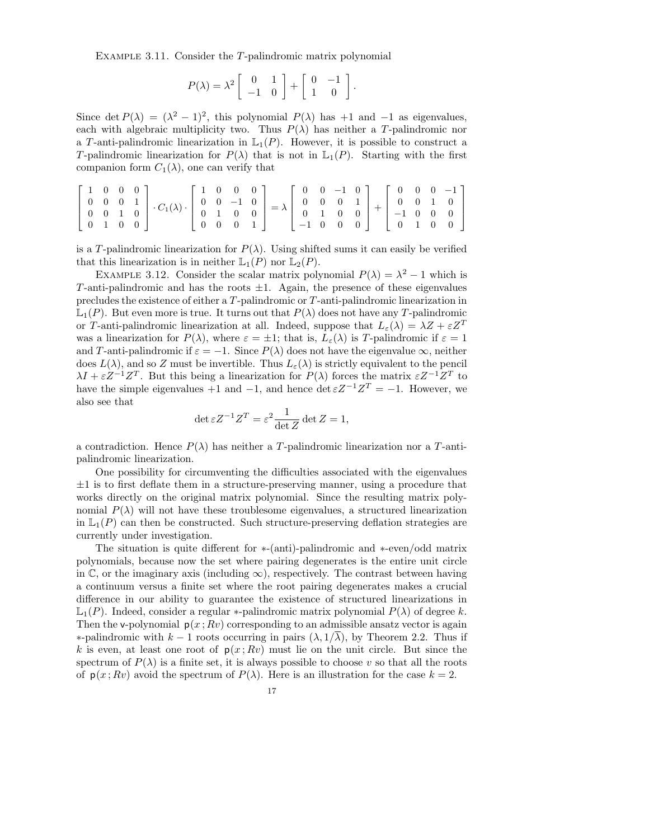EXAMPLE 3.11. Consider the T-palindromic matrix polynomial

$$
P(\lambda) = \lambda^2 \left[ \begin{array}{cc} 0 & 1 \\ -1 & 0 \end{array} \right] + \left[ \begin{array}{cc} 0 & -1 \\ 1 & 0 \end{array} \right].
$$

Since det  $P(\lambda) = (\lambda^2 - 1)^2$ , this polynomial  $P(\lambda)$  has +1 and -1 as eigenvalues, each with algebraic multiplicity two. Thus  $P(\lambda)$  has neither a T-palindromic nor a T-anti-palindromic linearization in  $\mathbb{L}_1(P)$ . However, it is possible to construct a T-palindromic linearization for  $P(\lambda)$  that is not in  $\mathbb{L}_1(P)$ . Starting with the first companion form  $C_1(\lambda)$ , one can verify that

$$
\begin{bmatrix} 1 & 0 & 0 & 0 \\ 0 & 0 & 0 & 1 \\ 0 & 0 & 1 & 0 \\ 0 & 1 & 0 & 0 \end{bmatrix} \cdot C_1(\lambda) \cdot \begin{bmatrix} 1 & 0 & 0 & 0 \\ 0 & 0 & -1 & 0 \\ 0 & 1 & 0 & 0 \\ 0 & 0 & 0 & 1 \end{bmatrix} = \lambda \begin{bmatrix} 0 & 0 & -1 & 0 \\ 0 & 0 & 0 & 1 \\ 0 & 1 & 0 & 0 \\ -1 & 0 & 0 & 0 \end{bmatrix} + \begin{bmatrix} 0 & 0 & 0 & -1 \\ 0 & 0 & 1 & 0 \\ -1 & 0 & 0 & 0 \\ 0 & 1 & 0 & 0 \end{bmatrix}
$$

is a T-palindromic linearization for  $P(\lambda)$ . Using shifted sums it can easily be verified that this linearization is in neither  $\mathbb{L}_1(P)$  nor  $\mathbb{L}_2(P)$ .

EXAMPLE 3.12. Consider the scalar matrix polynomial  $P(\lambda) = \lambda^2 - 1$  which is T-anti-palindromic and has the roots  $\pm 1$ . Again, the presence of these eigenvalues precludes the existence of either a T-palindromic or T-anti-palindromic linearization in  $\mathbb{L}_1(P)$ . But even more is true. It turns out that  $P(\lambda)$  does not have any T-palindromic or T-anti-palindromic linearization at all. Indeed, suppose that  $L_{\varepsilon}(\lambda) = \lambda Z + \varepsilon Z^{T}$ was a linearization for  $P(\lambda)$ , where  $\varepsilon = \pm 1$ ; that is,  $L_{\varepsilon}(\lambda)$  is T-palindromic if  $\varepsilon = 1$ and T-anti-palindromic if  $\varepsilon = -1$ . Since  $P(\lambda)$  does not have the eigenvalue  $\infty$ , neither does  $L(\lambda)$ , and so Z must be invertible. Thus  $L_{\varepsilon}(\lambda)$  is strictly equivalent to the pencil  $\lambda I + \varepsilon Z^{-1}Z^{T}$ . But this being a linearization for  $P(\lambda)$  forces the matrix  $\varepsilon Z^{-1}Z^{T}$  to have the simple eigenvalues  $+1$  and  $-1$ , and hence  $\det \varepsilon Z^{-1}Z^{T} = -1$ . However, we also see that

$$
\det \varepsilon Z^{-1}Z^T = \varepsilon^2 \frac{1}{\det Z} \det Z = 1,
$$

a contradiction. Hence  $P(\lambda)$  has neither a T-palindromic linearization nor a T-antipalindromic linearization.

One possibility for circumventing the difficulties associated with the eigenvalues  $\pm 1$  is to first deflate them in a structure-preserving manner, using a procedure that works directly on the original matrix polynomial. Since the resulting matrix polynomial  $P(\lambda)$  will not have these troublesome eigenvalues, a structured linearization in  $\mathbb{L}_1(P)$  can then be constructed. Such structure-preserving deflation strategies are currently under investigation.

The situation is quite different for ∗-(anti)-palindromic and ∗-even/odd matrix polynomials, because now the set where pairing degenerates is the entire unit circle in C, or the imaginary axis (including  $\infty$ ), respectively. The contrast between having a continuum versus a finite set where the root pairing degenerates makes a crucial difference in our ability to guarantee the existence of structured linearizations in  $\mathbb{L}_1(P)$ . Indeed, consider a regular \*-palindromic matrix polynomial  $P(\lambda)$  of degree k. Then the v-polynomial  $p(x; Rv)$  corresponding to an admissible ansatz vector is again ∗-palindromic with k − 1 roots occurring in pairs (λ, 1/λ), by Theorem 2.2. Thus if k is even, at least one root of  $p(x; Rv)$  must lie on the unit circle. But since the spectrum of  $P(\lambda)$  is a finite set, it is always possible to choose v so that all the roots of  $p(x; Rv)$  avoid the spectrum of  $P(\lambda)$ . Here is an illustration for the case  $k = 2$ .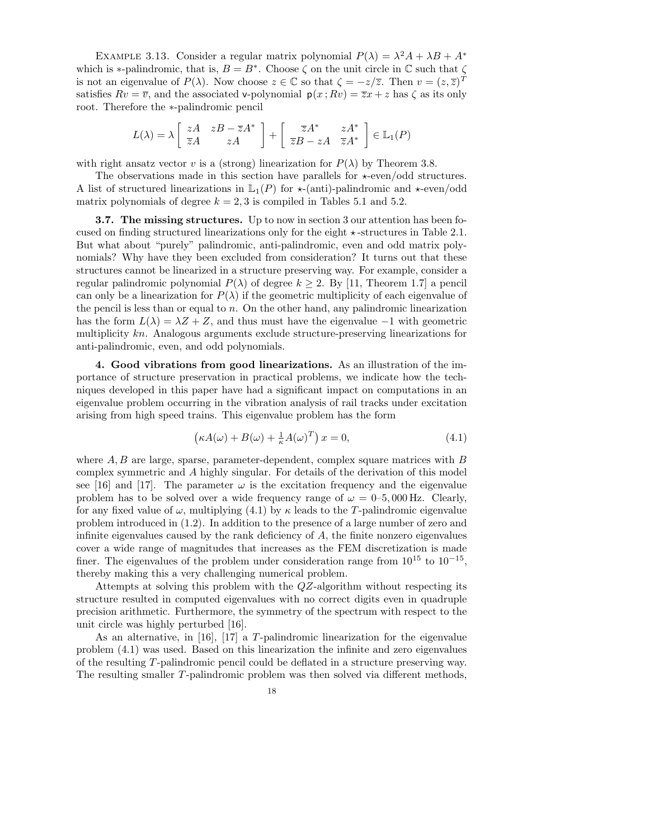EXAMPLE 3.13. Consider a regular matrix polynomial  $P(\lambda) = \lambda^2 A + \lambda B + A^*$ which is \*-palindromic, that is,  $B = B^*$ . Choose  $\zeta$  on the unit circle in  $\mathbb C$  such that  $\zeta$ is not an eigenvalue of  $P(\lambda)$ . Now choose  $z \in \mathbb{C}$  so that  $\zeta = -z/\overline{z}$ . Then  $v = (z, \overline{z})^T$ satisfies  $Rv = \overline{v}$ , and the associated v-polynomial  $p(x : Rv) = \overline{z}x + z$  has  $\zeta$  as its only root. Therefore the ∗-palindromic pencil

$$
L(\lambda) = \lambda \begin{bmatrix} zA & zB - \overline{z}A^* \\ \overline{z}A & zA \end{bmatrix} + \begin{bmatrix} \overline{z}A^* & zA^* \\ \overline{z}B - zA & \overline{z}A^* \end{bmatrix} \in \mathbb{L}_1(P)
$$

with right ansatz vector v is a (strong) linearization for  $P(\lambda)$  by Theorem 3.8.

The observations made in this section have parallels for  $\star$ -even/odd structures. A list of structured linearizations in  $\mathbb{L}_1(P)$  for  $\star$ -(anti)-palindromic and  $\star$ -even/odd matrix polynomials of degree  $k = 2, 3$  is compiled in Tables 5.1 and 5.2.

3.7. The missing structures. Up to now in section 3 our attention has been focused on finding structured linearizations only for the eight  $\star$ -structures in Table 2.1. But what about "purely" palindromic, anti-palindromic, even and odd matrix polynomials? Why have they been excluded from consideration? It turns out that these structures cannot be linearized in a structure preserving way. For example, consider a regular palindromic polynomial  $P(\lambda)$  of degree  $k \geq 2$ . By [11, Theorem 1.7] a pencil can only be a linearization for  $P(\lambda)$  if the geometric multiplicity of each eigenvalue of the pencil is less than or equal to  $n$ . On the other hand, any palindromic linearization has the form  $L(\lambda) = \lambda Z + Z$ , and thus must have the eigenvalue −1 with geometric multiplicity kn. Analogous arguments exclude structure-preserving linearizations for anti-palindromic, even, and odd polynomials.

4. Good vibrations from good linearizations. As an illustration of the importance of structure preservation in practical problems, we indicate how the techniques developed in this paper have had a significant impact on computations in an eigenvalue problem occurring in the vibration analysis of rail tracks under excitation arising from high speed trains. This eigenvalue problem has the form

$$
\left(\kappa A(\omega) + B(\omega) + \frac{1}{\kappa}A(\omega)^T\right)x = 0,\tag{4.1}
$$

where  $A, B$  are large, sparse, parameter-dependent, complex square matrices with  $B$ complex symmetric and A highly singular. For details of the derivation of this model see [16] and [17]. The parameter  $\omega$  is the excitation frequency and the eigenvalue problem has to be solved over a wide frequency range of  $\omega = 0$ –5,000 Hz. Clearly, for any fixed value of  $\omega$ , multiplying (4.1) by  $\kappa$  leads to the T-palindromic eigenvalue problem introduced in (1.2). In addition to the presence of a large number of zero and infinite eigenvalues caused by the rank deficiency of A, the finite nonzero eigenvalues cover a wide range of magnitudes that increases as the FEM discretization is made finer. The eigenvalues of the problem under consideration range from  $10^{15}$  to  $10^{-15}$ , thereby making this a very challenging numerical problem.

Attempts at solving this problem with the QZ-algorithm without respecting its structure resulted in computed eigenvalues with no correct digits even in quadruple precision arithmetic. Furthermore, the symmetry of the spectrum with respect to the unit circle was highly perturbed [16].

As an alternative, in [16], [17] a T-palindromic linearization for the eigenvalue problem (4.1) was used. Based on this linearization the infinite and zero eigenvalues of the resulting T-palindromic pencil could be deflated in a structure preserving way. The resulting smaller T-palindromic problem was then solved via different methods,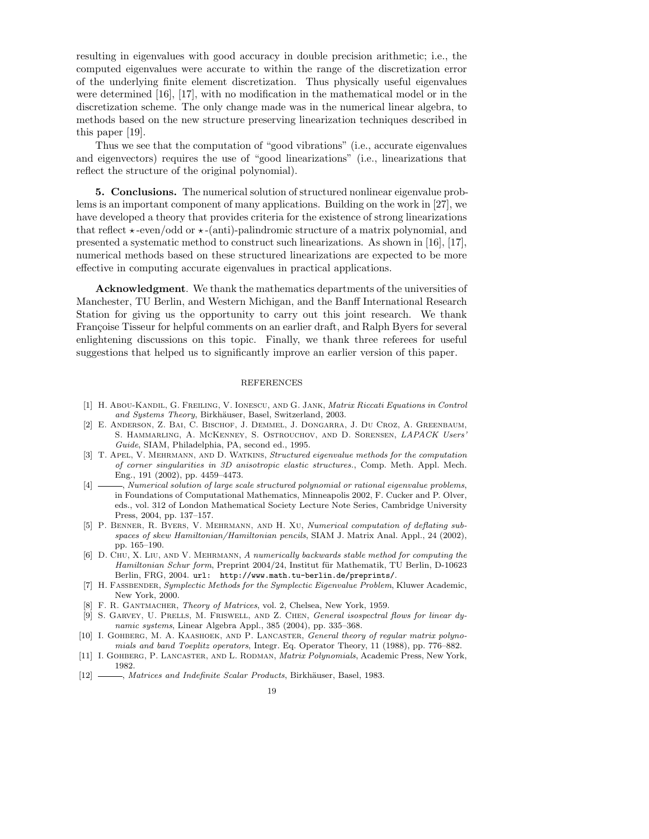resulting in eigenvalues with good accuracy in double precision arithmetic; i.e., the computed eigenvalues were accurate to within the range of the discretization error of the underlying finite element discretization. Thus physically useful eigenvalues were determined [16], [17], with no modification in the mathematical model or in the discretization scheme. The only change made was in the numerical linear algebra, to methods based on the new structure preserving linearization techniques described in this paper [19].

Thus we see that the computation of "good vibrations" (i.e., accurate eigenvalues and eigenvectors) requires the use of "good linearizations" (i.e., linearizations that reflect the structure of the original polynomial).

5. Conclusions. The numerical solution of structured nonlinear eigenvalue problems is an important component of many applications. Building on the work in [27], we have developed a theory that provides criteria for the existence of strong linearizations that reflect  $\star$ -even/odd or  $\star$ -(anti)-palindromic structure of a matrix polynomial, and presented a systematic method to construct such linearizations. As shown in [16], [17], numerical methods based on these structured linearizations are expected to be more effective in computing accurate eigenvalues in practical applications.

Acknowledgment. We thank the mathematics departments of the universities of Manchester, TU Berlin, and Western Michigan, and the Banff International Research Station for giving us the opportunity to carry out this joint research. We thank Françoise Tisseur for helpful comments on an earlier draft, and Ralph Byers for several enlightening discussions on this topic. Finally, we thank three referees for useful suggestions that helped us to significantly improve an earlier version of this paper.

### REFERENCES

- [1] H. Abou-Kandil, G. Freiling, V. Ionescu, and G. Jank, Matrix Riccati Equations in Control and Systems Theory, Birkhäuser, Basel, Switzerland, 2003.
- [2] E. Anderson, Z. Bai, C. Bischof, J. Demmel, J. Dongarra, J. Du Croz, A. Greenbaum, S. Hammarling, A. McKenney, S. Ostrouchov, and D. Sorensen, LAPACK Users' Guide, SIAM, Philadelphia, PA, second ed., 1995.
- [3] T. APEL, V. MEHRMANN, AND D. WATKINS, Structured eigenvalue methods for the computation of corner singularities in 3D anisotropic elastic structures., Comp. Meth. Appl. Mech. Eng., 191 (2002), pp. 4459–4473.
- [4]  $\longrightarrow$ , Numerical solution of large scale structured polynomial or rational eigenvalue problems, in Foundations of Computational Mathematics, Minneapolis 2002, F. Cucker and P. Olver, eds., vol. 312 of London Mathematical Society Lecture Note Series, Cambridge University Press, 2004, pp. 137–157.
- [5] P. Benner, R. Byers, V. Mehrmann, and H. Xu, Numerical computation of deflating subspaces of skew Hamiltonian/Hamiltonian pencils, SIAM J. Matrix Anal. Appl., 24 (2002), pp. 165–190.
- [6] D. Chu, X. Liu, and V. Mehrmann, A numerically backwards stable method for computing the Hamiltonian Schur form, Preprint 2004/24, Institut für Mathematik, TU Berlin, D-10623 Berlin, FRG, 2004. url: http://www.math.tu-berlin.de/preprints/.
- [7] H. FASSBENDER, Symplectic Methods for the Symplectic Eigenvalue Problem, Kluwer Academic, New York, 2000.
- [8] F. R. GANTMACHER, Theory of Matrices, vol. 2, Chelsea, New York, 1959.
- [9] S. GARVEY, U. PRELLS, M. FRISWELL, AND Z. CHEN, General isospectral flows for linear dynamic systems, Linear Algebra Appl., 385 (2004), pp. 335–368.
- [10] I. GOHBERG, M. A. KAASHOEK, AND P. LANCASTER, General theory of regular matrix polynomials and band Toeplitz operators, Integr. Eq. Operator Theory, 11 (1988), pp. 776–882.
- [11] I. GOHBERG, P. LANCASTER, AND L. RODMAN, *Matrix Polynomials*, Academic Press, New York, 1982.
- [12] , Matrices and Indefinite Scalar Products, Birkhäuser, Basel, 1983.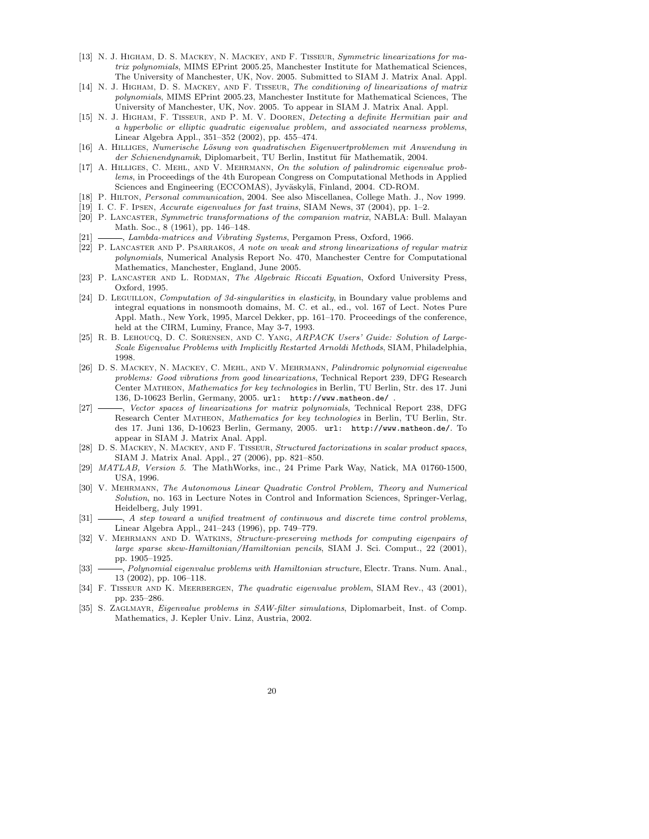- [13] N. J. HIGHAM, D. S. MACKEY, N. MACKEY, AND F. TISSEUR, Symmetric linearizations for matrix polynomials, MIMS EPrint 2005.25, Manchester Institute for Mathematical Sciences, The University of Manchester, UK, Nov. 2005. Submitted to SIAM J. Matrix Anal. Appl.
- [14] N. J. HIGHAM, D. S. MACKEY, AND F. TISSEUR, The conditioning of linearizations of matrix polynomials, MIMS EPrint 2005.23, Manchester Institute for Mathematical Sciences, The University of Manchester, UK, Nov. 2005. To appear in SIAM J. Matrix Anal. Appl.
- [15] N. J. Higham, F. Tisseur, and P. M. V. Dooren, Detecting a definite Hermitian pair and a hyperbolic or elliptic quadratic eigenvalue problem, and associated nearness problems, Linear Algebra Appl., 351–352 (2002), pp. 455–474.
- [16] A. Hilliges, Numerische L¨osung von quadratischen Eigenwertproblemen mit Anwendung in der Schienendynamik, Diplomarbeit, TU Berlin, Institut für Mathematik, 2004.
- [17] A. Hilliges, C. Mehl, and V. Mehrmann, On the solution of palindromic eigenvalue problems, in Proceedings of the 4th European Congress on Computational Methods in Applied Sciences and Engineering (ECCOMAS), Jyväskylä, Finland, 2004. CD-ROM.
- [18] P. Hilton, Personal communication, 2004. See also Miscellanea, College Math. J., Nov 1999.
- [19] I. C. F. Ipsen, Accurate eigenvalues for fast trains, SIAM News, 37 (2004), pp. 1–2.
- [20] P. Lancaster, Symmetric transformations of the companion matrix, NABLA: Bull. Malayan Math. Soc., 8 (1961), pp. 146–148.
- [21] , Lambda-matrices and Vibrating Systems, Pergamon Press, Oxford, 1966.
- [22] P. Lancaster and P. Psarrakos, A note on weak and strong linearizations of regular matrix polynomials, Numerical Analysis Report No. 470, Manchester Centre for Computational Mathematics, Manchester, England, June 2005.
- [23] P. LANCASTER AND L. RODMAN, The Algebraic Riccati Equation, Oxford University Press, Oxford, 1995.
- [24] D. LEGUILLON, Computation of 3d-singularities in elasticity, in Boundary value problems and integral equations in nonsmooth domains, M. C. et al., ed., vol. 167 of Lect. Notes Pure Appl. Math., New York, 1995, Marcel Dekker, pp. 161–170. Proceedings of the conference, held at the CIRM, Luminy, France, May 3-7, 1993.
- [25] R. B. Lehoucq, D. C. Sorensen, and C. Yang, ARPACK Users' Guide: Solution of Large-Scale Eigenvalue Problems with Implicitly Restarted Arnoldi Methods, SIAM, Philadelphia, 1998.
- [26] D. S. Mackey, N. Mackey, C. Mehl, and V. Mehrmann, Palindromic polynomial eigenvalue problems: Good vibrations from good linearizations, Technical Report 239, DFG Research Center Matheon, Mathematics for key technologies in Berlin, TU Berlin, Str. des 17. Juni 136, D-10623 Berlin, Germany, 2005. url: http://www.matheon.de/ .
- [27] Rector spaces of linearizations for matrix polynomials, Technical Report 238, DFG Research Center Matheon, Mathematics for key technologies in Berlin, TU Berlin, Str. des 17. Juni 136, D-10623 Berlin, Germany, 2005. url: http://www.matheon.de/. To appear in SIAM J. Matrix Anal. Appl.
- [28] D. S. Mackey, N. Mackey, and F. Tisseur, Structured factorizations in scalar product spaces, SIAM J. Matrix Anal. Appl., 27 (2006), pp. 821–850.
- [29] MATLAB, Version 5. The MathWorks, inc., 24 Prime Park Way, Natick, MA 01760-1500, USA, 1996.
- [30] V. Mehrmann, The Autonomous Linear Quadratic Control Problem, Theory and Numerical Solution, no. 163 in Lecture Notes in Control and Information Sciences, Springer-Verlag, Heidelberg, July 1991.
- [31]  $\_\_\_\_\$  A step toward a unified treatment of continuous and discrete time control problems, Linear Algebra Appl., 241–243 (1996), pp. 749–779.
- [32] V. MEHRMANN AND D. WATKINS, Structure-preserving methods for computing eigenpairs of large sparse skew-Hamiltonian/Hamiltonian pencils, SIAM J. Sci. Comput., 22 (2001), pp. 1905–1925.
- [33]  $\_\_\_\_\_$  Polynomial eigenvalue problems with Hamiltonian structure, Electr. Trans. Num. Anal., 13 (2002), pp. 106–118.
- [34] F. TISSEUR AND K. MEERBERGEN, The quadratic eigenvalue problem, SIAM Rev., 43 (2001), pp. 235–286.
- [35] S. ZAGLMAYR, Eigenvalue problems in SAW-filter simulations, Diplomarbeit, Inst. of Comp. Mathematics, J. Kepler Univ. Linz, Austria, 2002.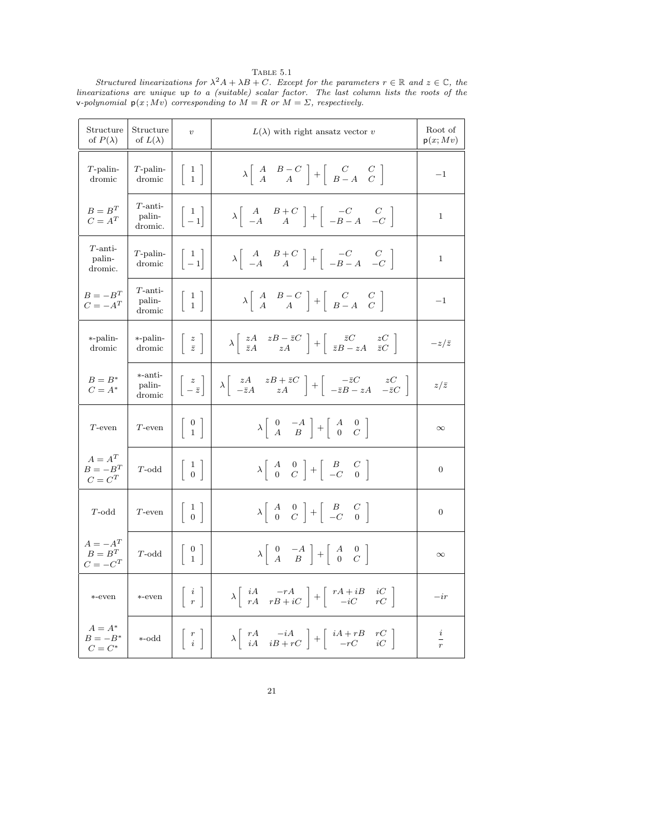| Structure<br>of $P(\lambda)$         | Structure<br>of $L(\lambda)$    | $\upsilon$                                                     | $L(\lambda)$ with right ansatz vector v                                                                                                                                             | Root of<br>p(x; Mv) |
|--------------------------------------|---------------------------------|----------------------------------------------------------------|-------------------------------------------------------------------------------------------------------------------------------------------------------------------------------------|---------------------|
| $T$ -palin-<br>dromic                | $T$ -palin-<br>dromic           | $\begin{bmatrix} 1 \\ 1 \end{bmatrix}$                         | $\lambda \left[ \begin{array}{cc} A & B-C \\ A & A \end{array} \right] + \left[ \begin{array}{cc} C & C \\ B-A & C \end{array} \right]$                                             | $-1$                |
| $B=B^T$<br>$C = A^T$                 | $T$ -anti-<br>palin-<br>dromic. | $\begin{bmatrix} 1 \\ -1 \end{bmatrix}$                        | $\lambda \left[ \begin{array}{cc} A & B+C \\ -A & A \end{array} \right] + \left[ \begin{array}{cc} -C & C \\ -B-A & -C \end{array} \right]$                                         | $\mathbf{1}$        |
| $T$ -anti-<br>palin-<br>dromic.      | $T$ -palin-<br>dromic           | $\begin{bmatrix} 1 \\ -1 \end{bmatrix}$                        | $\lambda \left[ \begin{array}{cc} A & B+C \\ -A & A \end{array} \right] + \left[ \begin{array}{cc} -C & C \\ -B-A & -C \end{array} \right]$                                         | $\mathbf 1$         |
| $B = -B^T$<br>$C=-A^T$               | $T$ -anti-<br>palin-<br>dromic  | $\left[\begin{array}{c}1\\1\end{array}\right]$                 | $\lambda \left[ \begin{array}{cc} A & B-C \\ A & A \end{array} \right] + \left[ \begin{array}{cc} C & C \\ B-A & C \end{array} \right]$                                             | $-1$                |
| *-palin-<br>dromic                   | *-palin-<br>dromic              | $\left[\begin{array}{c}z\\bar{z}\end{array}\right]$            | $\lambda \begin{bmatrix} zA & zB - \bar{z}C \\ \bar{z}A & zA \end{bmatrix} + \begin{bmatrix} \bar{z}C & zC \\ \bar{z}B - zA & \bar{z}C \end{bmatrix}$                               | $-z/\bar{z}$        |
| $B=B^*$<br>$C=A^*$                   | *-anti-<br>palin-<br>dromic     | $\left  \begin{array}{c} z \\ -\bar{z} \end{array} \right $    | $\lambda \left[ \begin{array}{cc} zA & zB+\bar{z}C \\ -\bar{z}A & zA \end{array} \right] + \left[ \begin{array}{cc} -\bar{z}C & zC \\ -\bar{z}B-zA & -\bar{z}C \end{array} \right]$ | $z/\bar{z}$         |
| $T$ -even                            | $T$ -even                       | $\left[\begin{array}{c} 0 \\ 1 \end{array}\right]$             | $\lambda \left[ \begin{array}{cc} 0 & -A \\ A & B \end{array} \right] + \left[ \begin{array}{cc} A & 0 \\ 0 & C \end{array} \right]$                                                | $\infty$            |
| $A = A^T$<br>$B = -B^T$<br>$C = C^T$ | $T$ -odd                        | $\left[\begin{array}{c}1\\0\end{array}\right]$                 | $\lambda \left[ \begin{array}{cc} A & 0 \\ 0 & C \end{array} \right] + \left[ \begin{array}{cc} B & C \\ -C & 0 \end{array} \right]$                                                | $\overline{0}$      |
| $T$ -odd                             | $T$ -even                       | $\begin{array}{ c} 1 \\ 0 \end{array}$                         | $\lambda \begin{array}{ccc} A & 0 \\ 0 & C \end{array} + \begin{array}{ccc} B & C \\ -C & 0 \end{array}$                                                                            | $\overline{0}$      |
| $A = -A^T$<br>$B=B^T$<br>$C = -C^T$  | $T$ -odd                        | $\left[\begin{array}{c} 0 \\ 1 \end{array}\right]$             | $\lambda \begin{vmatrix} 0 & -A \\ A & B \end{vmatrix} + \begin{vmatrix} A & 0 \\ 0 & C \end{vmatrix}$                                                                              | $\infty$            |
| *-even                               | *-even                          | $\left\lceil \begin{array}{c} i \\ r \end{array} \right\rceil$ | $\lambda \left[ \begin{array}{cc} iA & -rA \\ rA & rB + iC \end{array} \right] + \left[ \begin{array}{cc} rA + iB & iC \\ -iC & rC \end{array} \right]$                             | $-ir$               |
| $A = A^*$<br>$B=-B^*$<br>$C=C^*$     | *-odd                           | $\begin{array}{ c c c c c } \hline r & i \end{array}$          | $\lambda \left[ \begin{array}{cc} rA & -iA \\ iA & iB + rC \end{array} \right] + \left[ \begin{array}{cc} iA + rB & rC \\ -rC & iC \end{array} \right]$                             | $\frac{i}{r}$       |

TABLE  $5.1\,$ Structured linearizations for  $\lambda^2 A + \lambda B + C$ . Except for the parameters  $r \in \mathbb{R}$  and  $z \in \mathbb{C}$ , the linearizations are unique up to a (suitable) scalar factor. The last column lists the roots of the v-polynomial  $p(x; Mv)$  corresponding to  $M = R$  or  $M = \Sigma$ , respectively.